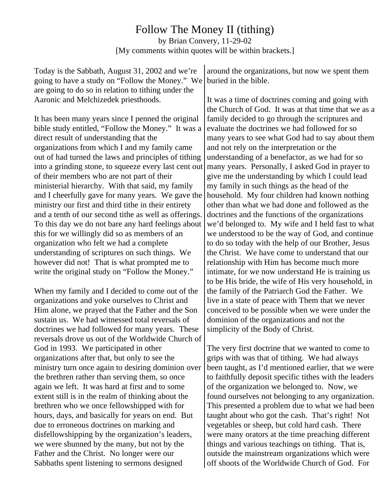## Follow The Money II (tithing)

by Brian Convery, 11-29-02 [My comments within quotes will be within brackets.]

| Today is the Sabbath, August 31, 2002 and we're<br>going to have a study on "Follow the Money." We<br>are going to do so in relation to tithing under the | around the organizations, but now we spent them<br>buried in the bible.                                 |
|-----------------------------------------------------------------------------------------------------------------------------------------------------------|---------------------------------------------------------------------------------------------------------|
| Aaronic and Melchizedek priesthoods.                                                                                                                      | It was a time of doctrines coming and going with<br>the Church of God. It was at that time that we as a |
| It has been many years since I penned the original                                                                                                        | family decided to go through the scriptures and                                                         |
| bible study entitled, "Follow the Money." It was a                                                                                                        | evaluate the doctrines we had followed for so                                                           |
| direct result of understanding that the                                                                                                                   | many years to see what God had to say about them                                                        |
| organizations from which I and my family came                                                                                                             | and not rely on the interpretation or the                                                               |
| out of had turned the laws and principles of tithing                                                                                                      | understanding of a benefactor, as we had for so                                                         |
| into a grinding stone, to squeeze every last cent out                                                                                                     | many years. Personally, I asked God in prayer to                                                        |
| of their members who are not part of their                                                                                                                | give me the understanding by which I could lead                                                         |
| ministerial hierarchy. With that said, my family                                                                                                          | my family in such things as the head of the                                                             |
| and I cheerfully gave for many years. We gave the                                                                                                         | household. My four children had known nothing                                                           |
| ministry our first and third tithe in their entirety                                                                                                      | other than what we had done and followed as the                                                         |
| and a tenth of our second tithe as well as offerings.                                                                                                     | doctrines and the functions of the organizations                                                        |
| To this day we do not bare any hard feelings about                                                                                                        | we'd belonged to. My wife and I held fast to what                                                       |
| this for we willingly did so as members of an                                                                                                             | we understood to be the way of God, and continue                                                        |
| organization who felt we had a complete                                                                                                                   | to do so today with the help of our Brother, Jesus                                                      |
| understanding of scriptures on such things. We                                                                                                            | the Christ. We have come to understand that our                                                         |
| however did not! That is what prompted me to                                                                                                              | relationship with Him has become much more                                                              |
| write the original study on "Follow the Money."                                                                                                           | intimate, for we now understand He is training us                                                       |
| When my family and I decided to come out of the                                                                                                           | the family of the Patriarch God the Father. We                                                          |
| organizations and yoke ourselves to Christ and                                                                                                            | live in a state of peace with Them that we never                                                        |
| Him alone, we prayed that the Father and the Son                                                                                                          | conceived to be possible when we were under the                                                         |
| sustain us. We had witnessed total reversals of                                                                                                           | dominion of the organizations and not the                                                               |
| doctrines we had followed for many years. These                                                                                                           | simplicity of the Body of Christ.                                                                       |
| God in 1993. We participated in other                                                                                                                     | The very first doctrine that we wanted to come to                                                       |
| organizations after that, but only to see the                                                                                                             | grips with was that of tithing. We had always                                                           |
| the brethren rather than serving them, so once                                                                                                            | to faithfully deposit specific tithes with the leaders                                                  |
| again we left. It was hard at first and to some                                                                                                           | of the organization we belonged to. Now, we                                                             |
| extent still is in the realm of thinking about the                                                                                                        | found ourselves not belonging to any organization.                                                      |
| brethren who we once fellowshipped with for                                                                                                               | This presented a problem due to what we had been                                                        |
| due to erroneous doctrines on marking and                                                                                                                 | vegetables or sheep, but cold hard cash. There                                                          |
| reversals drove us out of the Worldwide Church of                                                                                                         | to be His bride, the wife of His very household, in                                                     |
| ministry turn once again to desiring dominion over                                                                                                        | been taught, as I'd mentioned earlier, that we were                                                     |
| hours, days, and basically for years on end. But                                                                                                          | taught about who got the cash. That's right! Not                                                        |
| disfellowshipping by the organization's leaders,                                                                                                          | were many orators at the time preaching different                                                       |

things and various teachings on tithing. That is, outside the mainstream organizations which were off shoots of the Worldwide Church of God. For

Father and the Christ. No longer were our Sabbaths spent listening to sermons designed

we were shunned by the many, but not by the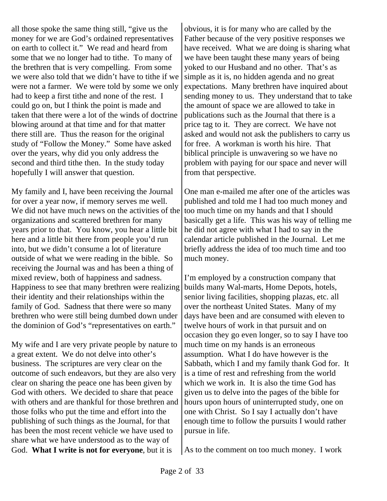all those spoke the same thing still, "give us the money for we are God's ordained representatives on earth to collect it." We read and heard from some that we no longer had to tithe. To many of the brethren that is very compelling. From some we were also told that we didn't have to tithe if we were not a farmer. We were told by some we only had to keep a first tithe and none of the rest. I could go on, but I think the point is made and taken that there were a lot of the winds of doctrine blowing around at that time and for that matter there still are. Thus the reason for the original study of "Follow the Money." Some have asked over the years, why did you only address the second and third tithe then. In the study today hopefully I will answer that question.

My family and I, have been receiving the Journal for over a year now, if memory serves me well. We did not have much news on the activities of the organizations and scattered brethren for many years prior to that. You know, you hear a little bit here and a little bit there from people you'd run into, but we didn't consume a lot of literature outside of what we were reading in the bible. So receiving the Journal was and has been a thing of mixed review, both of happiness and sadness. Happiness to see that many brethren were realizing their identity and their relationships within the family of God. Sadness that there were so many brethren who were still being dumbed down under the dominion of God's "representatives on earth."

My wife and I are very private people by nature to a great extent. We do not delve into other's business. The scriptures are very clear on the outcome of such endeavors, but they are also very clear on sharing the peace one has been given by God with others. We decided to share that peace with others and are thankful for those brethren and those folks who put the time and effort into the publishing of such things as the Journal, for that has been the most recent vehicle we have used to share what we have understood as to the way of God. **What I write is not for everyone**, but it is

obvious, it is for many who are called by the Father because of the very positive responses we have received. What we are doing is sharing what we have been taught these many years of being yoked to our Husband and no other. That's as simple as it is, no hidden agenda and no great expectations. Many brethren have inquired about sending money to us. They understand that to take the amount of space we are allowed to take in publications such as the Journal that there is a price tag to it. They are correct. We have not asked and would not ask the publishers to carry us for free. A workman is worth his hire. That biblical principle is unwavering so we have no problem with paying for our space and never will from that perspective.

One man e-mailed me after one of the articles was published and told me I had too much money and too much time on my hands and that I should basically get a life. This was his way of telling me he did not agree with what I had to say in the calendar article published in the Journal. Let me briefly address the idea of too much time and too much money.

I'm employed by a construction company that builds many Wal-marts, Home Depots, hotels, senior living facilities, shopping plazas, etc. all over the northeast United States. Many of my days have been and are consumed with eleven to twelve hours of work in that pursuit and on occasion they go even longer, so to say I have too much time on my hands is an erroneous assumption. What I do have however is the Sabbath, which I and my family thank God for. It is a time of rest and refreshing from the world which we work in. It is also the time God has given us to delve into the pages of the bible for hours upon hours of uninterrupted study, one on one with Christ. So I say I actually don't have enough time to follow the pursuits I would rather pursue in life.

As to the comment on too much money. I work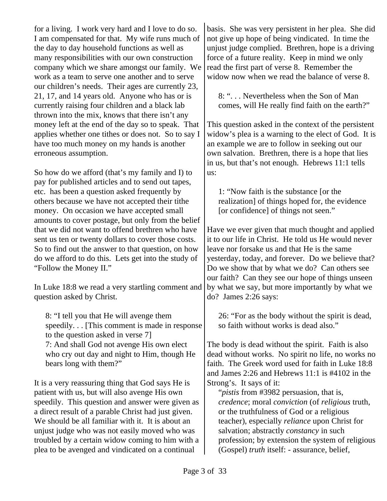for a living. I work very hard and I love to do so. I am compensated for that. My wife runs much of the day to day household functions as well as many responsibilities with our own construction company which we share amongst our family. We work as a team to serve one another and to serve our children's needs. Their ages are currently 23, 21, 17, and 14 years old. Anyone who has or is currently raising four children and a black lab thrown into the mix, knows that there isn't any money left at the end of the day so to speak. That applies whether one tithes or does not. So to say I have too much money on my hands is another erroneous assumption.

So how do we afford (that's my family and I) to pay for published articles and to send out tapes, etc. has been a question asked frequently by others because we have not accepted their tithe money. On occasion we have accepted small amounts to cover postage, but only from the belief that we did not want to offend brethren who have sent us ten or twenty dollars to cover those costs. So to find out the answer to that question, on how do we afford to do this. Lets get into the study of "Follow the Money II."

In Luke 18:8 we read a very startling comment and question asked by Christ.

8: "I tell you that He will avenge them speedily. . . [This comment is made in response to the question asked in verse 7] 7: And shall God not avenge His own elect who cry out day and night to Him, though He bears long with them?"

It is a very reassuring thing that God says He is patient with us, but will also avenge His own speedily. This question and answer were given as a direct result of a parable Christ had just given. We should be all familiar with it. It is about an unjust judge who was not easily moved who was troubled by a certain widow coming to him with a plea to be avenged and vindicated on a continual

basis. She was very persistent in her plea. She did not give up hope of being vindicated. In time the unjust judge complied. Brethren, hope is a driving force of a future reality. Keep in mind we only read the first part of verse 8. Remember the widow now when we read the balance of verse 8.

8: ". . . Nevertheless when the Son of Man comes, will He really find faith on the earth?"

This question asked in the context of the persistent widow's plea is a warning to the elect of God. It is an example we are to follow in seeking out our own salvation. Brethren, there is a hope that lies in us, but that's not enough. Hebrews 11:1 tells us:

1: "Now faith is the substance [or the realization] of things hoped for, the evidence [or confidence] of things not seen."

Have we ever given that much thought and applied it to our life in Christ. He told us He would never leave nor forsake us and that He is the same yesterday, today, and forever. Do we believe that? Do we show that by what we do? Can others see our faith? Can they see our hope of things unseen by what we say, but more importantly by what we do? James 2:26 says:

26: "For as the body without the spirit is dead, so faith without works is dead also."

The body is dead without the spirit. Faith is also dead without works. No spirit no life, no works no faith. The Greek word used for faith in Luke 18:8 and James 2:26 and Hebrews 11:1 is #4102 in the Strong's. It says of it:

"*pistis* from #3982 persuasion, that is, *credence*; moral *conviction* (of *religious* truth, or the truthfulness of God or a religious teacher), especially *reliance* upon Christ for salvation; abstractly *constancy* in such profession; by extension the system of religious (Gospel) *truth* itself: - assurance, belief,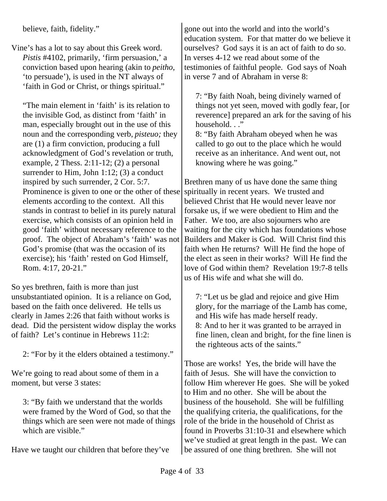believe, faith, fidelity."

Vine's has a lot to say about this Greek word. *Pistis* #4102, primarily, 'firm persuasion,' a conviction based upon hearing (akin to *peitho*, 'to persuade'), is used in the NT always of 'faith in God or Christ, or things spiritual."

"The main element in 'faith' is its relation to the invisible God, as distinct from 'faith' in man, especially brought out in the use of this noun and the corresponding verb, *pisteuo;* they are (1) a firm conviction, producing a full acknowledgment of God's revelation or truth, example, 2 Thess.  $2:11-12$ ; (2) a personal surrender to Him, John 1:12; (3) a conduct inspired by such surrender, 2 Cor. 5:7. Prominence is given to one or the other of these elements according to the context. All this stands in contrast to belief in its purely natural exercise, which consists of an opinion held in good 'faith' without necessary reference to the proof. The object of Abraham's 'faith' was not God's promise (that was the occasion of its exercise); his 'faith' rested on God Himself, Rom. 4:17, 20-21."

So yes brethren, faith is more than just unsubstantiated opinion. It is a reliance on God, based on the faith once delivered. He tells us clearly in James 2:26 that faith without works is dead. Did the persistent widow display the works of faith? Let's continue in Hebrews 11:2:

2: "For by it the elders obtained a testimony."

We're going to read about some of them in a moment, but verse 3 states:

3: "By faith we understand that the worlds were framed by the Word of God, so that the things which are seen were not made of things which are visible."

Have we taught our children that before they've

gone out into the world and into the world's education system. For that matter do we believe it ourselves? God says it is an act of faith to do so. In verses 4-12 we read about some of the testimonies of faithful people. God says of Noah in verse 7 and of Abraham in verse 8:

7: "By faith Noah, being divinely warned of things not yet seen, moved with godly fear, [or reverence] prepared an ark for the saving of his household..."

8: "By faith Abraham obeyed when he was called to go out to the place which he would receive as an inheritance. And went out, not knowing where he was going."

Brethren many of us have done the same thing spiritually in recent years. We trusted and believed Christ that He would never leave nor forsake us, if we were obedient to Him and the Father. We too, are also sojourners who are waiting for the city which has foundations whose Builders and Maker is God. Will Christ find this faith when He returns? Will He find the hope of the elect as seen in their works? Will He find the love of God within them? Revelation 19:7-8 tells us of His wife and what she will do.

7: "Let us be glad and rejoice and give Him glory, for the marriage of the Lamb has come, and His wife has made herself ready. 8: And to her it was granted to be arrayed in fine linen, clean and bright, for the fine linen is the righteous acts of the saints."

Those are works! Yes, the bride will have the faith of Jesus. She will have the conviction to follow Him wherever He goes. She will be yoked to Him and no other. She will be about the business of the household. She will be fulfilling the qualifying criteria, the qualifications, for the role of the bride in the household of Christ as found in Proverbs 31:10-31 and elsewhere which we've studied at great length in the past. We can be assured of one thing brethren. She will not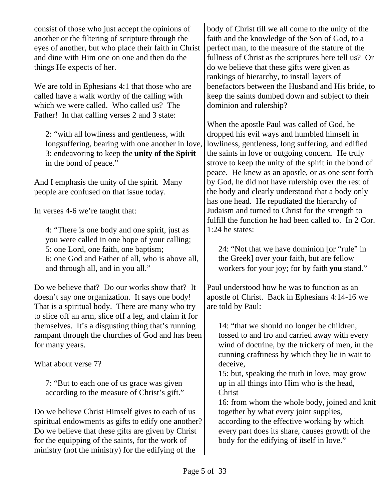consist of those who just accept the opinions of another or the filtering of scripture through the eyes of another, but who place their faith in Christ and dine with Him one on one and then do the things He expects of her.

We are told in Ephesians 4:1 that those who are called have a walk worthy of the calling with which we were called. Who called us? The Father! In that calling verses 2 and 3 state:

2: "with all lowliness and gentleness, with longsuffering, bearing with one another in love, 3: endeavoring to keep the **unity of the Spirit** in the bond of peace."

And I emphasis the unity of the spirit. Many people are confused on that issue today.

In verses 4-6 we're taught that:

4: "There is one body and one spirit, just as you were called in one hope of your calling; 5: one Lord, one faith, one baptism; 6: one God and Father of all, who is above all, and through all, and in you all."

Do we believe that? Do our works show that? It doesn't say one organization. It says one body! That is a spiritual body. There are many who try to slice off an arm, slice off a leg, and claim it for themselves. It's a disgusting thing that's running rampant through the churches of God and has been for many years.

What about verse 7?

7: "But to each one of us grace was given according to the measure of Christ's gift."

Do we believe Christ Himself gives to each of us spiritual endowments as gifts to edify one another? Do we believe that these gifts are given by Christ for the equipping of the saints, for the work of ministry (not the ministry) for the edifying of the

body of Christ till we all come to the unity of the faith and the knowledge of the Son of God, to a perfect man, to the measure of the stature of the fullness of Christ as the scriptures here tell us? Or do we believe that these gifts were given as rankings of hierarchy, to install layers of benefactors between the Husband and His bride, to keep the saints dumbed down and subject to their dominion and rulership?

When the apostle Paul was called of God, he dropped his evil ways and humbled himself in lowliness, gentleness, long suffering, and edified the saints in love or outgoing concern. He truly strove to keep the unity of the spirit in the bond of peace. He knew as an apostle, or as one sent forth by God, he did not have rulership over the rest of the body and clearly understood that a body only has one head. He repudiated the hierarchy of Judaism and turned to Christ for the strength to fulfill the function he had been called to. In 2 Cor. 1:24 he states:

24: "Not that we have dominion [or "rule" in the Greek] over your faith, but are fellow workers for your joy; for by faith **you** stand."

Paul understood how he was to function as an apostle of Christ. Back in Ephesians 4:14-16 we are told by Paul:

14: "that we should no longer be children, tossed to and fro and carried away with every wind of doctrine, by the trickery of men, in the cunning craftiness by which they lie in wait to deceive,

15: but, speaking the truth in love, may grow up in all things into Him who is the head, **Christ** 

16: from whom the whole body, joined and knit together by what every joint supplies, according to the effective working by which every part does its share, causes growth of the body for the edifying of itself in love."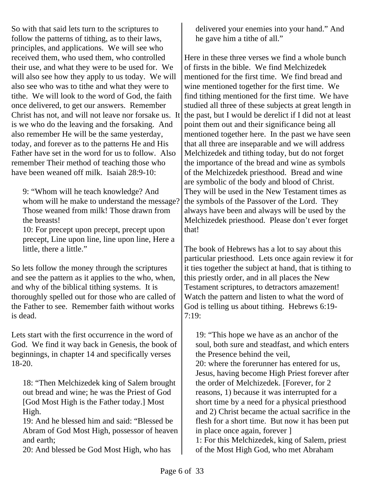So with that said lets turn to the scriptures to follow the patterns of tithing, as to their laws, principles, and applications. We will see who received them, who used them, who controlled their use, and what they were to be used for. We will also see how they apply to us today. We will also see who was to tithe and what they were to tithe. We will look to the word of God, the faith once delivered, to get our answers. Remember Christ has not, and will not leave nor forsake us. It is we who do the leaving and the forsaking. And also remember He will be the same yesterday, today, and forever as to the patterns He and His Father have set in the word for us to follow. Also remember Their method of teaching those who have been weaned off milk. Isaiah 28:9-10:

9: "Whom will he teach knowledge? And whom will he make to understand the message? Those weaned from milk! Those drawn from the breasts!

10: For precept upon precept, precept upon precept, Line upon line, line upon line, Here a little, there a little."

So lets follow the money through the scriptures and see the pattern as it applies to the who, when, and why of the biblical tithing systems. It is thoroughly spelled out for those who are called of the Father to see. Remember faith without works is dead.

Lets start with the first occurrence in the word of God. We find it way back in Genesis, the book of beginnings, in chapter 14 and specifically verses 18-20.

18: "Then Melchizedek king of Salem brought out bread and wine; he was the Priest of God [God Most High is the Father today.] Most High.

19: And he blessed him and said: "Blessed be Abram of God Most High, possessor of heaven and earth;

20: And blessed be God Most High, who has

delivered your enemies into your hand." And he gave him a tithe of all."

Here in these three verses we find a whole bunch of firsts in the bible. We find Melchizedek mentioned for the first time. We find bread and wine mentioned together for the first time. We find tithing mentioned for the first time. We have studied all three of these subjects at great length in the past, but I would be derelict if I did not at least point them out and their significance being all mentioned together here. In the past we have seen that all three are inseparable and we will address Melchizedek and tithing today, but do not forget the importance of the bread and wine as symbols of the Melchizedek priesthood. Bread and wine are symbolic of the body and blood of Christ. They will be used in the New Testament times as the symbols of the Passover of the Lord. They always have been and always will be used by the Melchizedek priesthood. Please don't ever forget that!

The book of Hebrews has a lot to say about this particular priesthood. Lets once again review it for it ties together the subject at hand, that is tithing to this priestly order, and in all places the New Testament scriptures, to detractors amazement! Watch the pattern and listen to what the word of God is telling us about tithing. Hebrews 6:19- 7:19:

19: "This hope we have as an anchor of the soul, both sure and steadfast, and which enters the Presence behind the veil,

20: where the forerunner has entered for us, Jesus, having become High Priest forever after the order of Melchizedek. [Forever, for 2 reasons, 1) because it was interrupted for a short time by a need for a physical priesthood and 2) Christ became the actual sacrifice in the flesh for a short time. But now it has been put in place once again, forever ]

1: For this Melchizedek, king of Salem, priest of the Most High God, who met Abraham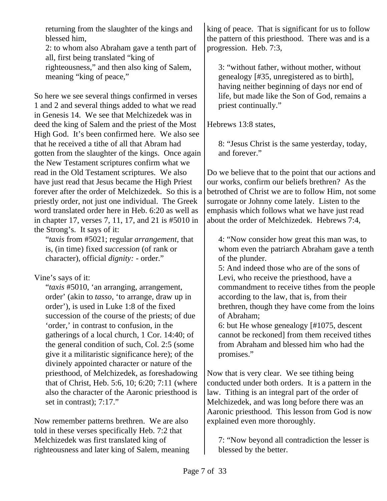returning from the slaughter of the kings and blessed him,

2: to whom also Abraham gave a tenth part of all, first being translated "king of righteousness," and then also king of Salem, meaning "king of peace,"

So here we see several things confirmed in verses 1 and 2 and several things added to what we read in Genesis 14. We see that Melchizedek was in deed the king of Salem and the priest of the Most High God. It's been confirmed here. We also see that he received a tithe of all that Abram had gotten from the slaughter of the kings. Once again the New Testament scriptures confirm what we read in the Old Testament scriptures. We also have just read that Jesus became the High Priest forever after the order of Melchizedek. So this is a priestly order, not just one individual. The Greek word translated order here in Heb. 6:20 as well as in chapter 17, verses 7, 11, 17, and 21 is #5010 in the Strong's. It says of it:

"*taxis* from #5021; regular *arrangement*, that is, (in time) fixed *succession* (of rank or character), official *dignity:* - order."

Vine's says of it:

"*taxis* #5010, 'an arranging, arrangement, order' (akin to *tasso*, 'to arrange, draw up in order'), is used in Luke 1:8 of the fixed succession of the course of the priests; of due 'order,' in contrast to confusion, in the gatherings of a local church, 1 Cor. 14:40; of the general condition of such, Col. 2:5 (some give it a militaristic significance here); of the divinely appointed character or nature of the priesthood, of Melchizedek, as foreshadowing that of Christ, Heb. 5:6, 10; 6:20; 7:11 (where also the character of the Aaronic priesthood is set in contrast); 7:17."

Now remember patterns brethren. We are also told in these verses specifically Heb. 7:2 that Melchizedek was first translated king of righteousness and later king of Salem, meaning

king of peace. That is significant for us to follow the pattern of this priesthood. There was and is a progression. Heb. 7:3,

3: "without father, without mother, without genealogy [#35, unregistered as to birth], having neither beginning of days nor end of life, but made like the Son of God, remains a priest continually."

Hebrews 13:8 states,

8: "Jesus Christ is the same yesterday, today, and forever."

Do we believe that to the point that our actions and our works, confirm our beliefs brethren? As the betrothed of Christ we are to follow Him, not some surrogate or Johnny come lately. Listen to the emphasis which follows what we have just read about the order of Melchizedek. Hebrews 7:4,

4: "Now consider how great this man was, to whom even the patriarch Abraham gave a tenth of the plunder.

5: And indeed those who are of the sons of Levi, who receive the priesthood, have a commandment to receive tithes from the people according to the law, that is, from their brethren, though they have come from the loins of Abraham;

6: but He whose genealogy [#1075, descent cannot be reckoned] from them received tithes from Abraham and blessed him who had the promises."

Now that is very clear. We see tithing being conducted under both orders. It is a pattern in the law. Tithing is an integral part of the order of Melchizedek, and was long before there was an Aaronic priesthood. This lesson from God is now explained even more thoroughly.

7: "Now beyond all contradiction the lesser is blessed by the better.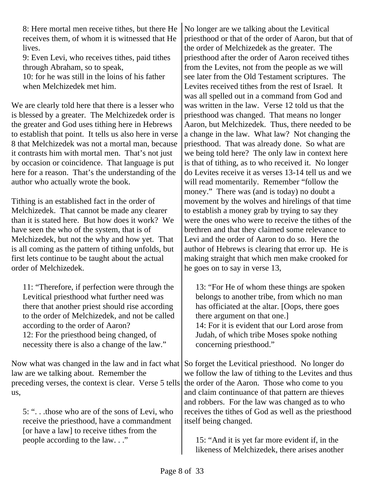8: Here mortal men receive tithes, but there He receives them, of whom it is witnessed that He lives.

9: Even Levi, who receives tithes, paid tithes through Abraham, so to speak,

10: for he was still in the loins of his father when Melchizedek met him.

We are clearly told here that there is a lesser who is blessed by a greater. The Melchizedek order is the greater and God uses tithing here in Hebrews to establish that point. It tells us also here in verse 8 that Melchizedek was not a mortal man, because it contrasts him with mortal men. That's not just by occasion or coincidence. That language is put here for a reason. That's the understanding of the author who actually wrote the book.

Tithing is an established fact in the order of Melchizedek. That cannot be made any clearer than it is stated here. But how does it work? We have seen the who of the system, that is of Melchizedek, but not the why and how yet. That is all coming as the pattern of tithing unfolds, but first lets continue to be taught about the actual order of Melchizedek.

11: "Therefore, if perfection were through the Levitical priesthood what further need was there that another priest should rise according to the order of Melchizedek, and not be called according to the order of Aaron? 12: For the priesthood being changed, of necessity there is also a change of the law."

Now what was changed in the law and in fact what law are we talking about. Remember the preceding verses, the context is clear. Verse 5 tells us,

5: ". . .those who are of the sons of Levi, who receive the priesthood, have a commandment [or have a law] to receive tithes from the people according to the law. . ."

No longer are we talking about the Levitical priesthood or that of the order of Aaron, but that of the order of Melchizedek as the greater. The priesthood after the order of Aaron received tithes from the Levites, not from the people as we will see later from the Old Testament scriptures. The Levites received tithes from the rest of Israel. It was all spelled out in a command from God and was written in the law. Verse 12 told us that the priesthood was changed. That means no longer Aaron, but Melchizedek. Thus, there needed to be a change in the law. What law? Not changing the priesthood. That was already done. So what are we being told here? The only law in context here is that of tithing, as to who received it. No longer do Levites receive it as verses 13-14 tell us and we will read momentarily. Remember "follow the money." There was (and is today) no doubt a movement by the wolves and hirelings of that time to establish a money grab by trying to say they were the ones who were to receive the tithes of the brethren and that they claimed some relevance to Levi and the order of Aaron to do so. Here the author of Hebrews is clearing that error up. He is making straight that which men make crooked for he goes on to say in verse 13,

13: "For He of whom these things are spoken belongs to another tribe, from which no man has officiated at the altar. [Oops, there goes there argument on that one.] 14: For it is evident that our Lord arose from Judah, of which tribe Moses spoke nothing concerning priesthood."

So forget the Levitical priesthood. No longer do we follow the law of tithing to the Levites and thus the order of the Aaron. Those who come to you and claim continuance of that pattern are thieves and robbers. For the law was changed as to who receives the tithes of God as well as the priesthood itself being changed.

15: "And it is yet far more evident if, in the likeness of Melchizedek, there arises another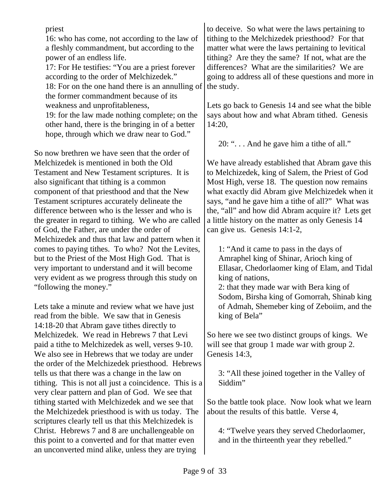priest 16: who has come, not according to the law of a fleshly commandment, but according to the power of an endless life. 17: For He testifies: "You are a priest forever according to the order of Melchizedek." 18: For on the one hand there is an annulling of the former commandment because of its weakness and unprofitableness, 19: for the law made nothing complete; on the other hand, there is the bringing in of a better hope, through which we draw near to God." So now brethren we have seen that the order of Melchizedek is mentioned in both the Old Testament and New Testament scriptures. It is also significant that tithing is a common component of that priesthood and that the New Testament scriptures accurately delineate the difference between who is the lesser and who is the greater in regard to tithing. We who are called of God, the Father, are under the order of Melchizedek and thus that law and pattern when it comes to paying tithes. To who? Not the Levites, but to the Priest of the Most High God. That is very important to understand and it will become

Lets take a minute and review what we have just read from the bible. We saw that in Genesis 14:18-20 that Abram gave tithes directly to Melchizedek. We read in Hebrews 7 that Levi paid a tithe to Melchizedek as well, verses 9-10. We also see in Hebrews that we today are under the order of the Melchizedek priesthood. Hebrews tells us that there was a change in the law on tithing. This is not all just a coincidence. This is a very clear pattern and plan of God. We see that tithing started with Melchizedek and we see that the Melchizedek priesthood is with us today. The scriptures clearly tell us that this Melchizedek is Christ. Hebrews 7 and 8 are unchallengeable on this point to a converted and for that matter even an unconverted mind alike, unless they are trying

very evident as we progress through this study on

"following the money."

to deceive. So what were the laws pertaining to tithing to the Melchizedek priesthood? For that matter what were the laws pertaining to levitical tithing? Are they the same? If not, what are the differences? What are the similarities? We are going to address all of these questions and more in the study.

Lets go back to Genesis 14 and see what the bible says about how and what Abram tithed. Genesis 14:20,

20: ". . . And he gave him a tithe of all."

We have already established that Abram gave this to Melchizedek, king of Salem, the Priest of God Most High, verse 18. The question now remains what exactly did Abram give Melchizedek when it says, "and he gave him a tithe of all?" What was the, "all" and how did Abram acquire it? Lets get a little history on the matter as only Genesis 14 can give us. Genesis 14:1-2,

1: "And it came to pass in the days of Amraphel king of Shinar, Arioch king of Ellasar, Chedorlaomer king of Elam, and Tidal king of nations,

2: that they made war with Bera king of Sodom, Birsha king of Gomorrah, Shinab king of Admah, Shemeber king of Zeboiim, and the king of Bela"

So here we see two distinct groups of kings. We will see that group 1 made war with group 2. Genesis 14:3,

3: "All these joined together in the Valley of Siddim"

So the battle took place. Now look what we learn about the results of this battle. Verse 4,

4: "Twelve years they served Chedorlaomer, and in the thirteenth year they rebelled."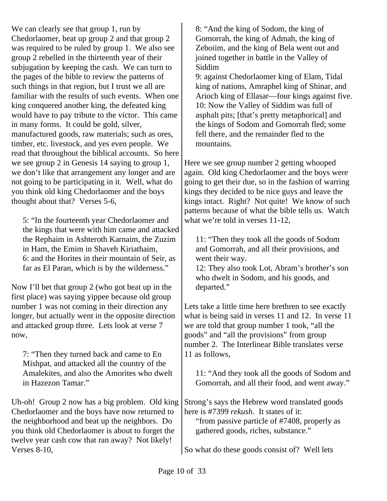We can clearly see that group 1, run by Chedorlaomer, beat up group 2 and that group 2 was required to be ruled by group 1. We also see group 2 rebelled in the thirteenth year of their subjugation by keeping the cash. We can turn to the pages of the bible to review the patterns of such things in that region, but I trust we all are familiar with the results of such events. When one king conquered another king, the defeated king would have to pay tribute to the victor. This came in many forms. It could be gold, silver, manufactured goods, raw materials; such as ores, timber, etc. livestock, and yes even people. We read that throughout the biblical accounts. So here we see group 2 in Genesis 14 saying to group 1, we don't like that arrangement any longer and are not going to be participating in it. Well, what do you think old king Chedorlaomer and the boys thought about that? Verses 5-6,

5: "In the fourteenth year Chedorlaomer and the kings that were with him came and attacked the Rephaim in Ashteroth Karnaim, the Zuzim in Ham, the Emim in Shaveh Kiriathaim, 6: and the Horites in their mountain of Seir, as far as El Paran, which is by the wilderness."

Now I'll bet that group 2 (who got beat up in the first place) was saying yippee because old group number 1 was not coming in their direction any longer, but actually went in the opposite direction and attacked group three. Lets look at verse 7 now,

7: "Then they turned back and came to En Mishpat, and attacked all the country of the Amalekites, and also the Amorites who dwelt in Hazezon Tamar."

Uh-oh! Group 2 now has a big problem. Old king Chedorlaomer and the boys have now returned to the neighborhood and beat up the neighbors. Do you think old Chedorlaomer is about to forget the twelve year cash cow that ran away? Not likely! Verses 8-10,

8: "And the king of Sodom, the king of Gomorrah, the king of Admah, the king of Zeboiim, and the king of Bela went out and joined together in battle in the Valley of Siddim

9: against Chedorlaomer king of Elam, Tidal king of nations, Amraphel king of Shinar, and Arioch king of Ellasar—four kings against five. 10: Now the Valley of Siddim was full of asphalt pits; [that's pretty metaphorical] and the kings of Sodom and Gomorrah fled; some fell there, and the remainder fled to the mountains.

Here we see group number 2 getting whooped again. Old king Chedorlaomer and the boys were going to get their due, so in the fashion of warring kings they decided to be nice guys and leave the kings intact. Right? Not quite! We know of such patterns because of what the bible tells us. Watch what we're told in verses 11-12.

11: "Then they took all the goods of Sodom and Gomorrah, and all their provisions, and went their way.

12: They also took Lot, Abram's brother's son who dwelt in Sodom, and his goods, and departed."

Lets take a little time here brethren to see exactly what is being said in verses 11 and 12. In verse 11 we are told that group number 1 took, "all the goods" and "all the provisions" from group number 2. The Interlinear Bible translates verse 11 as follows,

11: "And they took all the goods of Sodom and Gomorrah, and all their food, and went away."

Strong's says the Hebrew word translated goods here is #7399 *rekush*. It states of it:

"from passive particle of #7408, properly as gathered goods, riches, substance."

So what do these goods consist of? Well lets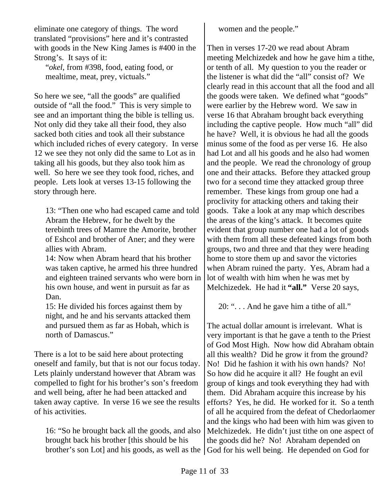eliminate one category of things. The word translated "provisions" here and it's contrasted with goods in the New King James is #400 in the Strong's. It says of it:

"*okel*, from #398, food, eating food, or mealtime, meat, prey, victuals."

So here we see, "all the goods" are qualified outside of "all the food." This is very simple to see and an important thing the bible is telling us. Not only did they take all their food, they also sacked both cities and took all their substance which included riches of every category. In verse 12 we see they not only did the same to Lot as in taking all his goods, but they also took him as well. So here we see they took food, riches, and people. Lets look at verses 13-15 following the story through here.

13: "Then one who had escaped came and told Abram the Hebrew, for he dwelt by the terebinth trees of Mamre the Amorite, brother of Eshcol and brother of Aner; and they were allies with Abram.

14: Now when Abram heard that his brother was taken captive, he armed his three hundred and eighteen trained servants who were born in his own house, and went in pursuit as far as Dan.

15: He divided his forces against them by night, and he and his servants attacked them and pursued them as far as Hobah, which is north of Damascus."

There is a lot to be said here about protecting oneself and family, but that is not our focus today. Lets plainly understand however that Abram was compelled to fight for his brother's son's freedom and well being, after he had been attacked and taken away captive. In verse 16 we see the results of his activities.

16: "So he brought back all the goods, and also brought back his brother [this should be his

women and the people."

Then in verses 17-20 we read about Abram meeting Melchizedek and how he gave him a tithe, or tenth of all. My question to you the reader or the listener is what did the "all" consist of? We clearly read in this account that all the food and all the goods were taken. We defined what "goods" were earlier by the Hebrew word. We saw in verse 16 that Abraham brought back everything including the captive people. How much "all" did he have? Well, it is obvious he had all the goods minus some of the food as per verse 16. He also had Lot and all his goods and he also had women and the people. We read the chronology of group one and their attacks. Before they attacked group two for a second time they attacked group three remember. These kings from group one had a proclivity for attacking others and taking their goods. Take a look at any map which describes the areas of the king's attack. It becomes quite evident that group number one had a lot of goods with them from all these defeated kings from both groups, two and three and that they were heading home to store them up and savor the victories when Abram ruined the party. Yes, Abram had a lot of wealth with him when he was met by Melchizedek. He had it **"all."** Verse 20 says,

20: ". . . And he gave him a tithe of all."

brother's son Lot] and his goods, as well as the God for his well being. He depended on God forThe actual dollar amount is irrelevant. What is very important is that he gave a tenth to the Priest of God Most High. Now how did Abraham obtain all this wealth? Did he grow it from the ground? No! Did he fashion it with his own hands? No! So how did he acquire it all? He fought an evil group of kings and took everything they had with them. Did Abraham acquire this increase by his efforts? Yes, he did. He worked for it. So a tenth of all he acquired from the defeat of Chedorlaomer and the kings who had been with him was given to Melchizedek. He didn't just tithe on one aspect of the goods did he? No! Abraham depended on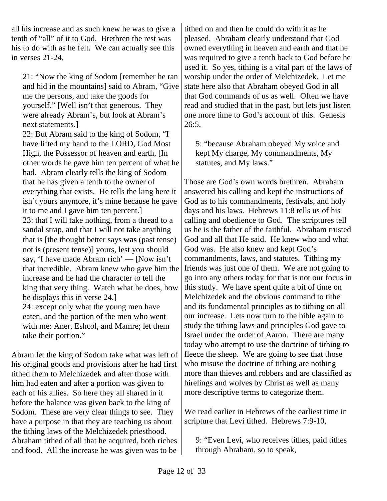all his increase and as such knew he was to give a tenth of "all" of it to God. Brethren the rest was his to do with as he felt. We can actually see this in verses 21-24,

21: "Now the king of Sodom [remember he ran and hid in the mountains] said to Abram, "Give me the persons, and take the goods for yourself." [Well isn't that generous. They were already Abram's, but look at Abram's next statements.] 22: But Abram said to the king of Sodom, "I have lifted my hand to the LORD, God Most High, the Possessor of heaven and earth, [In other words he gave him ten percent of what he had. Abram clearly tells the king of Sodom that he has given a tenth to the owner of everything that exists. He tells the king here it isn't yours anymore, it's mine because he gave it to me and I gave him ten percent.] 23: that I will take nothing, from a thread to a sandal strap, and that I will not take anything that is [the thought better says **was** (past tense) not **is** (present tense)] yours, lest you should say, 'I have made Abram rich' — [Now isn't that incredible. Abram knew who gave him the increase and he had the character to tell the king that very thing. Watch what he does, how he displays this in verse 24.] 24: except only what the young men have eaten, and the portion of the men who went with me: Aner, Eshcol, and Mamre; let them

Abram let the king of Sodom take what was left of his original goods and provisions after he had first tithed them to Melchizedek and after those with him had eaten and after a portion was given to each of his allies. So here they all shared in it before the balance was given back to the king of Sodom. These are very clear things to see. They have a purpose in that they are teaching us about the tithing laws of the Melchizedek priesthood. Abraham tithed of all that he acquired, both riches and food. All the increase he was given was to be

take their portion."

tithed on and then he could do with it as he pleased. Abraham clearly understood that God owned everything in heaven and earth and that he was required to give a tenth back to God before he used it. So yes, tithing is a vital part of the laws of worship under the order of Melchizedek. Let me state here also that Abraham obeyed God in all that God commands of us as well. Often we have read and studied that in the past, but lets just listen one more time to God's account of this. Genesis 26:5,

5: "because Abraham obeyed My voice and kept My charge, My commandments, My statutes, and My laws."

Those are God's own words brethren. Abraham answered his calling and kept the instructions of God as to his commandments, festivals, and holy days and his laws. Hebrews 11:8 tells us of his calling and obedience to God. The scriptures tell us he is the father of the faithful. Abraham trusted God and all that He said. He knew who and what God was. He also knew and kept God's commandments, laws, and statutes. Tithing my friends was just one of them. We are not going to go into any others today for that is not our focus in this study. We have spent quite a bit of time on Melchizedek and the obvious command to tithe and its fundamental principles as to tithing on all our increase. Lets now turn to the bible again to study the tithing laws and principles God gave to Israel under the order of Aaron. There are many today who attempt to use the doctrine of tithing to fleece the sheep. We are going to see that those who misuse the doctrine of tithing are nothing more than thieves and robbers and are classified as hirelings and wolves by Christ as well as many more descriptive terms to categorize them.

We read earlier in Hebrews of the earliest time in scripture that Levi tithed. Hebrews 7:9-10,

9: "Even Levi, who receives tithes, paid tithes through Abraham, so to speak,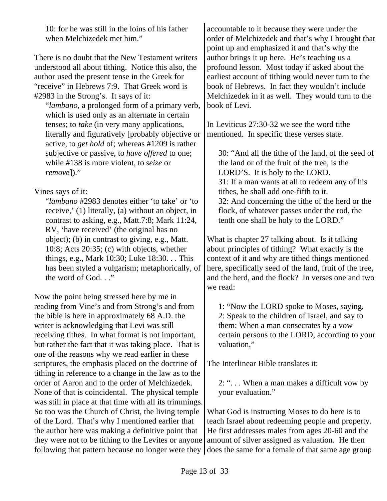10: for he was still in the loins of his father when Melchizedek met him."

There is no doubt that the New Testament writers understood all about tithing. Notice this also, the author used the present tense in the Greek for "receive" in Hebrews 7:9. That Greek word is #2983 in the Strong's. It says of it:

"*lambano*, a prolonged form of a primary verb, which is used only as an alternate in certain tenses; to *take* (in very many applications, literally and figuratively [probably objective or active, to *get hold* of; whereas #1209 is rather subjective or passive, to *have offered* to one; while #138 is more violent, to *seize* or *remove*])."

## Vines says of it:

"*lambano* #2983 denotes either 'to take' or 'to receive,' (1) literally, (a) without an object, in contrast to asking, e.g., Matt.7:8; Mark 11:24, RV, 'have received' (the original has no object); (b) in contrast to giving, e.g., Matt. 10:8; Acts 20:35; (c) with objects, whether things, e.g., Mark 10:30; Luke 18:30. . . This has been styled a vulgarism; metaphorically, of the word of God. . ."

Now the point being stressed here by me in reading from Vine's and from Strong's and from the bible is here in approximately 68 A.D. the writer is acknowledging that Levi was still receiving tithes. In what format is not important, but rather the fact that it was taking place. That is one of the reasons why we read earlier in these scriptures, the emphasis placed on the doctrine of tithing in reference to a change in the law as to the order of Aaron and to the order of Melchizedek. None of that is coincidental. The physical temple was still in place at that time with all its trimmings. So too was the Church of Christ, the living temple of the Lord. That's why I mentioned earlier that the author here was making a definitive point that they were not to be tithing to the Levites or anyone accountable to it because they were under the order of Melchizedek and that's why I brought that point up and emphasized it and that's why the author brings it up here. He's teaching us a profound lesson. Most today if asked about the earliest account of tithing would never turn to the book of Hebrews. In fact they wouldn't include Melchizedek in it as well. They would turn to the book of Levi.

In Leviticus 27:30-32 we see the word tithe mentioned. In specific these verses state.

30: "And all the tithe of the land, of the seed of the land or of the fruit of the tree, is the LORD'S. It is holy to the LORD. 31: If a man wants at all to redeem any of his tithes, he shall add one-fifth to it. 32: And concerning the tithe of the herd or the flock, of whatever passes under the rod, the tenth one shall be holy to the LORD."

What is chapter 27 talking about. Is it talking about principles of tithing? What exactly is the context of it and why are tithed things mentioned here, specifically seed of the land, fruit of the tree, and the herd, and the flock? In verses one and two we read:

1: "Now the LORD spoke to Moses, saying, 2: Speak to the children of Israel, and say to them: When a man consecrates by a vow certain persons to the LORD, according to your valuation,"

The Interlinear Bible translates it:

2: ". . . When a man makes a difficult vow by your evaluation."

following that pattern because no longer were they does the same for a female of that same age groupWhat God is instructing Moses to do here is to teach Israel about redeeming people and property. He first addresses males from ages 20-60 and the amount of silver assigned as valuation. He then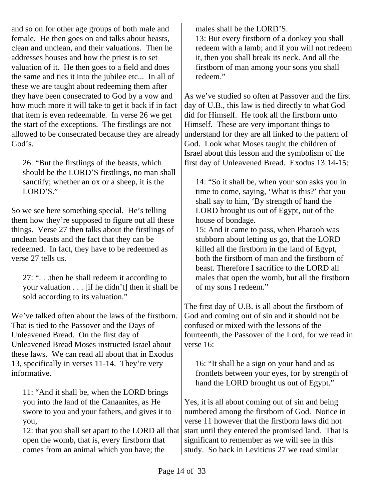and so on for other age groups of both male and female. He then goes on and talks about beasts, clean and unclean, and their valuations. Then he addresses houses and how the priest is to set valuation of it. He then goes to a field and does the same and ties it into the jubilee etc... In all of these we are taught about redeeming them after they have been consecrated to God by a vow and how much more it will take to get it back if in fact that item is even redeemable. In verse 26 we get the start of the exceptions. The firstlings are not allowed to be consecrated because they are already God's.

26: "But the firstlings of the beasts, which should be the LORD'S firstlings, no man shall sanctify; whether an ox or a sheep, it is the LORD'S."

So we see here something special. He's telling them how they're supposed to figure out all these things. Verse 27 then talks about the firstlings of unclean beasts and the fact that they can be redeemed. In fact, they have to be redeemed as verse 27 tells us.

27: ". . .then he shall redeem it according to your valuation . . . [if he didn't] then it shall be sold according to its valuation."

We've talked often about the laws of the firstborn. That is tied to the Passover and the Days of Unleavened Bread. On the first day of Unleavened Bread Moses instructed Israel about these laws. We can read all about that in Exodus 13, specifically in verses 11-14. They're very informative.

11: "And it shall be, when the LORD brings you into the land of the Canaanites, as He swore to you and your fathers, and gives it to you,

12: that you shall set apart to the LORD all that open the womb, that is, every firstborn that comes from an animal which you have; the

males shall be the LORD'S. 13: But every firstborn of a donkey you shall redeem with a lamb; and if you will not redeem it, then you shall break its neck. And all the firstborn of man among your sons you shall redeem."

As we've studied so often at Passover and the first day of U.B., this law is tied directly to what God did for Himself. He took all the firstborn unto Himself. These are very important things to understand for they are all linked to the pattern of God. Look what Moses taught the children of Israel about this lesson and the symbolism of the first day of Unleavened Bread. Exodus 13:14-15:

14: "So it shall be, when your son asks you in time to come, saying, 'What is this?' that you shall say to him, 'By strength of hand the LORD brought us out of Egypt, out of the house of bondage.

15: And it came to pass, when Pharaoh was stubborn about letting us go, that the LORD killed all the firstborn in the land of Egypt, both the firstborn of man and the firstborn of beast. Therefore I sacrifice to the LORD all males that open the womb, but all the firstborn of my sons I redeem."

The first day of U.B. is all about the firstborn of God and coming out of sin and it should not be confused or mixed with the lessons of the fourteenth, the Passover of the Lord, for we read in verse 16:

16: "It shall be a sign on your hand and as frontlets between your eyes, for by strength of hand the LORD brought us out of Egypt."

Yes, it is all about coming out of sin and being numbered among the firstborn of God. Notice in verse 11 however that the firstborn laws did not start until they entered the promised land. That is significant to remember as we will see in this study. So back in Leviticus 27 we read similar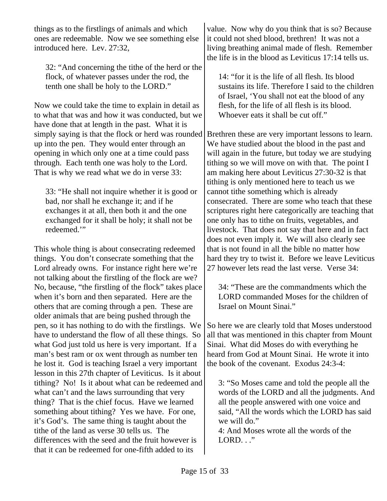things as to the firstlings of animals and which ones are redeemable. Now we see something else introduced here. Lev. 27:32,

32: "And concerning the tithe of the herd or the flock, of whatever passes under the rod, the tenth one shall be holy to the LORD."

Now we could take the time to explain in detail as to what that was and how it was conducted, but we have done that at length in the past. What it is simply saying is that the flock or herd was rounded up into the pen. They would enter through an opening in which only one at a time could pass through. Each tenth one was holy to the Lord. That is why we read what we do in verse 33:

33: "He shall not inquire whether it is good or bad, nor shall he exchange it; and if he exchanges it at all, then both it and the one exchanged for it shall be holy; it shall not be redeemed."

This whole thing is about consecrating redeemed things. You don't consecrate something that the Lord already owns. For instance right here we're not talking about the firstling of the flock are we? No, because, "the firstling of the flock" takes place when it's born and then separated. Here are the others that are coming through a pen. These are older animals that are being pushed through the pen, so it has nothing to do with the firstlings. We have to understand the flow of all these things. So what God just told us here is very important. If a man's best ram or ox went through as number ten he lost it. God is teaching Israel a very important lesson in this 27th chapter of Leviticus. Is it about tithing? No! Is it about what can be redeemed and what can't and the laws surrounding that very thing? That is the chief focus. Have we learned something about tithing? Yes we have. For one, it's God's. The same thing is taught about the tithe of the land as verse 30 tells us. The differences with the seed and the fruit however is that it can be redeemed for one-fifth added to its

value. Now why do you think that is so? Because it could not shed blood, brethren! It was not a living breathing animal made of flesh. Remember the life is in the blood as Leviticus 17:14 tells us.

14: "for it is the life of all flesh. Its blood sustains its life. Therefore I said to the children of Israel, 'You shall not eat the blood of any flesh, for the life of all flesh is its blood. Whoever eats it shall be cut off."

Brethren these are very important lessons to learn. We have studied about the blood in the past and will again in the future, but today we are studying tithing so we will move on with that. The point I am making here about Leviticus 27:30-32 is that tithing is only mentioned here to teach us we cannot tithe something which is already consecrated. There are some who teach that these scriptures right here categorically are teaching that one only has to tithe on fruits, vegetables, and livestock. That does not say that here and in fact does not even imply it. We will also clearly see that is not found in all the bible no matter how hard they try to twist it. Before we leave Leviticus 27 however lets read the last verse. Verse 34:

34: "These are the commandments which the LORD commanded Moses for the children of Israel on Mount Sinai."

So here we are clearly told that Moses understood all that was mentioned in this chapter from Mount Sinai. What did Moses do with everything he heard from God at Mount Sinai. He wrote it into the book of the covenant. Exodus 24:3-4:

3: "So Moses came and told the people all the words of the LORD and all the judgments. And all the people answered with one voice and said, "All the words which the LORD has said we will do."

4: And Moses wrote all the words of the LORD. ..."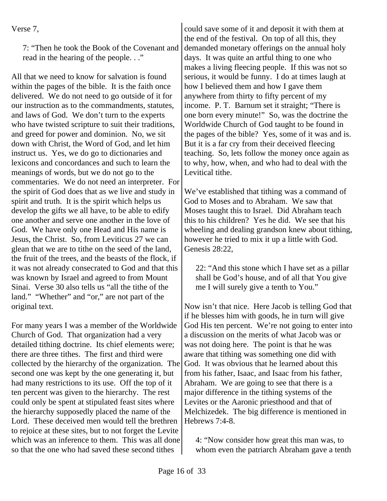| erso |  |
|------|--|
|      |  |

7: "Then he took the Book of the Covenant and read in the hearing of the people. . ."

All that we need to know for salvation is found within the pages of the bible. It is the faith once delivered. We do not need to go outside of it for our instruction as to the commandments, statutes, and laws of God. We don't turn to the experts who have twisted scripture to suit their traditions, and greed for power and dominion. No, we sit down with Christ, the Word of God, and let him instruct us. Yes, we do go to dictionaries and lexicons and concordances and such to learn the meanings of words, but we do not go to the commentaries. We do not need an interpreter. For the spirit of God does that as we live and study in spirit and truth. It is the spirit which helps us develop the gifts we all have, to be able to edify one another and serve one another in the love of God. We have only one Head and His name is Jesus, the Christ. So, from Leviticus 27 we can glean that we are to tithe on the seed of the land, the fruit of the trees, and the beasts of the flock, if it was not already consecrated to God and that this was known by Israel and agreed to from Mount Sinai. Verse 30 also tells us "all the tithe of the land." "Whether" and "or," are not part of the original text.

For many years I was a member of the Worldwide Church of God. That organization had a very detailed tithing doctrine. Its chief elements were; there are three tithes. The first and third were collected by the hierarchy of the organization. The second one was kept by the one generating it, but had many restrictions to its use. Off the top of it ten percent was given to the hierarchy. The rest could only be spent at stipulated feast sites where the hierarchy supposedly placed the name of the Lord. These deceived men would tell the brethren to rejoice at these sites, but to not forget the Levite which was an inference to them. This was all done so that the one who had saved these second tithes

could save some of it and deposit it with them at the end of the festival. On top of all this, they demanded monetary offerings on the annual holy days. It was quite an artful thing to one who makes a living fleecing people. If this was not so serious, it would be funny. I do at times laugh at how I believed them and how I gave them anywhere from thirty to fifty percent of my income. P. T. Barnum set it straight; "There is one born every minute!" So, was the doctrine the Worldwide Church of God taught to be found in the pages of the bible? Yes, some of it was and is. But it is a far cry from their deceived fleecing teaching. So, lets follow the money once again as to why, how, when, and who had to deal with the Levitical tithe.

We've established that tithing was a command of God to Moses and to Abraham. We saw that Moses taught this to Israel. Did Abraham teach this to his children? Yes he did. We see that his wheeling and dealing grandson knew about tithing, however he tried to mix it up a little with God. Genesis 28:22,

22: "And this stone which I have set as a pillar shall be God's house, and of all that You give me I will surely give a tenth to You."

Now isn't that nice. Here Jacob is telling God that if he blesses him with goods, he in turn will give God His ten percent. We're not going to enter into a discussion on the merits of what Jacob was or was not doing here. The point is that he was aware that tithing was something one did with God. It was obvious that he learned about this from his father, Isaac, and Isaac from his father, Abraham. We are going to see that there is a major difference in the tithing systems of the Levites or the Aaronic priesthood and that of Melchizedek. The big difference is mentioned in Hebrews 7:4-8.

4: "Now consider how great this man was, to whom even the patriarch Abraham gave a tenth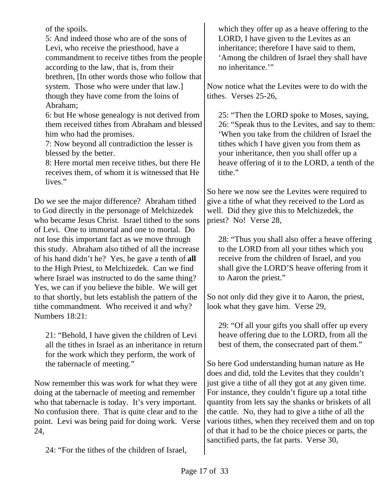of the spoils.

5: And indeed those who are of the sons of Levi, who receive the priesthood, have a commandment to receive tithes from the people according to the law, that is, from their brethren, [In other words those who follow that system. Those who were under that law.] though they have come from the loins of Abraham;

6: but He whose genealogy is not derived from them received tithes from Abraham and blessed him who had the promises.

7: Now beyond all contradiction the lesser is blessed by the better.

8: Here mortal men receive tithes, but there He receives them, of whom it is witnessed that He lives."

Do we see the major difference? Abraham tithed to God directly in the personage of Melchizedek who became Jesus Christ. Israel tithed to the sons of Levi. One to immortal and one to mortal. Do not lose this important fact as we move through this study. Abraham also tithed of all the increase of his hand didn't he? Yes, he gave a tenth of **all** to the High Priest, to Melchizedek. Can we find where Israel was instructed to do the same thing? Yes, we can if you believe the bible. We will get to that shortly, but lets establish the pattern of the tithe commandment. Who received it and why? Numbers 18:21:

21: "Behold, I have given the children of Levi all the tithes in Israel as an inheritance in return for the work which they perform, the work of the tabernacle of meeting."

Now remember this was work for what they were doing at the tabernacle of meeting and remember who that tabernacle is today. It's very important. No confusion there. That is quite clear and to the point. Levi was being paid for doing work. Verse 24,

24: "For the tithes of the children of Israel,

which they offer up as a heave offering to the LORD, I have given to the Levites as an inheritance; therefore I have said to them, 'Among the children of Israel they shall have no inheritance."

Now notice what the Levites were to do with the tithes. Verses 25-26,

25: "Then the LORD spoke to Moses, saying, 26: "Speak thus to the Levites, and say to them: 'When you take from the children of Israel the tithes which I have given you from them as your inheritance, then you shall offer up a heave offering of it to the LORD, a tenth of the tithe."

So here we now see the Levites were required to give a tithe of what they received to the Lord as well. Did they give this to Melchizedek, the priest? No! Verse 28,

28: "Thus you shall also offer a heave offering to the LORD from all your tithes which you receive from the children of Israel, and you shall give the LORD'S heave offering from it to Aaron the priest."

So not only did they give it to Aaron, the priest, look what they gave him. Verse 29,

29: "Of all your gifts you shall offer up every heave offering due to the LORD, from all the best of them, the consecrated part of them."

So here God understanding human nature as He does and did, told the Levites that they couldn't just give a tithe of all they got at any given time. For instance, they couldn't figure up a total tithe quantity from lets say the shanks or briskets of all the cattle. No, they had to give a tithe of all the various tithes, when they received them and on top of that it had to be the choice pieces or parts, the sanctified parts, the fat parts. Verse 30,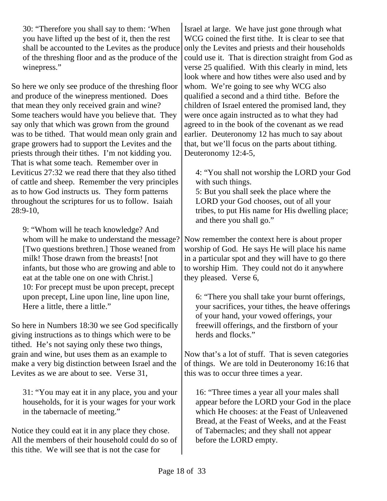30: "Therefore you shall say to them: 'When you have lifted up the best of it, then the rest shall be accounted to the Levites as the produce of the threshing floor and as the produce of the winepress."

So here we only see produce of the threshing floor and produce of the winepress mentioned. Does that mean they only received grain and wine? Some teachers would have you believe that. They say only that which was grown from the ground was to be tithed. That would mean only grain and grape growers had to support the Levites and the priests through their tithes. I'm not kidding you. That is what some teach. Remember over in Leviticus 27:32 we read there that they also tithed of cattle and sheep. Remember the very principles as to how God instructs us. They form patterns throughout the scriptures for us to follow. Isaiah 28:9-10,

9: "Whom will he teach knowledge? And whom will he make to understand the message? [Two questions brethren.] Those weaned from milk! Those drawn from the breasts! [not infants, but those who are growing and able to eat at the table one on one with Christ.] 10: For precept must be upon precept, precept upon precept, Line upon line, line upon line, Here a little, there a little."

So here in Numbers 18:30 we see God specifically giving instructions as to things which were to be tithed. He's not saying only these two things, grain and wine, but uses them as an example to make a very big distinction between Israel and the Levites as we are about to see. Verse 31,

31: "You may eat it in any place, you and your households, for it is your wages for your work in the tabernacle of meeting."

Notice they could eat it in any place they chose. All the members of their household could do so of this tithe. We will see that is not the case for

Israel at large. We have just gone through what WCG coined the first tithe. It is clear to see that only the Levites and priests and their households could use it. That is direction straight from God as verse 25 qualified. With this clearly in mind, lets look where and how tithes were also used and by whom. We're going to see why WCG also qualified a second and a third tithe. Before the children of Israel entered the promised land, they were once again instructed as to what they had agreed to in the book of the covenant as we read earlier. Deuteronomy 12 has much to say about that, but we'll focus on the parts about tithing. Deuteronomy 12:4-5,

4: "You shall not worship the LORD your God with such things.

5: But you shall seek the place where the LORD your God chooses, out of all your tribes, to put His name for His dwelling place; and there you shall go."

Now remember the context here is about proper worship of God. He says He will place his name in a particular spot and they will have to go there to worship Him. They could not do it anywhere they pleased. Verse 6,

6: "There you shall take your burnt offerings, your sacrifices, your tithes, the heave offerings of your hand, your vowed offerings, your freewill offerings, and the firstborn of your herds and flocks."

Now that's a lot of stuff. That is seven categories of things. We are told in Deuteronomy 16:16 that this was to occur three times a year.

16: "Three times a year all your males shall appear before the LORD your God in the place which He chooses: at the Feast of Unleavened Bread, at the Feast of Weeks, and at the Feast of Tabernacles; and they shall not appear before the LORD empty.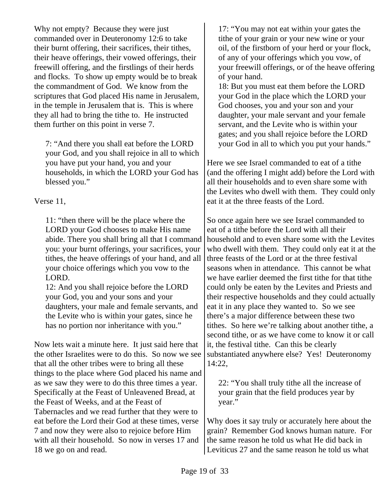Why not empty? Because they were just commanded over in Deuteronomy 12:6 to take their burnt offering, their sacrifices, their tithes, their heave offerings, their vowed offerings, their freewill offering, and the firstlings of their herds and flocks. To show up empty would be to break the commandment of God. We know from the scriptures that God placed His name in Jerusalem, in the temple in Jerusalem that is. This is where they all had to bring the tithe to. He instructed them further on this point in verse 7.

7: "And there you shall eat before the LORD your God, and you shall rejoice in all to which you have put your hand, you and your households, in which the LORD your God has blessed you."

Verse 11,

11: "then there will be the place where the LORD your God chooses to make His name abide. There you shall bring all that I command you: your burnt offerings, your sacrifices, your tithes, the heave offerings of your hand, and all your choice offerings which you vow to the LORD.

12: And you shall rejoice before the LORD your God, you and your sons and your daughters, your male and female servants, and the Levite who is within your gates, since he has no portion nor inheritance with you."

Now lets wait a minute here. It just said here that the other Israelites were to do this. So now we see that all the other tribes were to bring all these things to the place where God placed his name and as we saw they were to do this three times a year. Specifically at the Feast of Unleavened Bread, at the Feast of Weeks, and at the Feast of Tabernacles and we read further that they were to eat before the Lord their God at these times, verse 7 and now they were also to rejoice before Him with all their household. So now in verses 17 and 18 we go on and read.

17: "You may not eat within your gates the tithe of your grain or your new wine or your oil, of the firstborn of your herd or your flock, of any of your offerings which you vow, of your freewill offerings, or of the heave offering of your hand.

18: But you must eat them before the LORD your God in the place which the LORD your God chooses, you and your son and your daughter, your male servant and your female servant, and the Levite who is within your gates; and you shall rejoice before the LORD your God in all to which you put your hands."

Here we see Israel commanded to eat of a tithe (and the offering I might add) before the Lord with all their households and to even share some with the Levites who dwell with them. They could only eat it at the three feasts of the Lord.

So once again here we see Israel commanded to eat of a tithe before the Lord with all their household and to even share some with the Levites who dwell with them. They could only eat it at the three feasts of the Lord or at the three festival seasons when in attendance. This cannot be what we have earlier deemed the first tithe for that tithe could only be eaten by the Levites and Priests and their respective households and they could actually eat it in any place they wanted to. So we see there's a major difference between these two tithes. So here we're talking about another tithe, a second tithe, or as we have come to know it or call it, the festival tithe. Can this be clearly substantiated anywhere else? Yes! Deuteronomy 14:22,

22: "You shall truly tithe all the increase of your grain that the field produces year by year."

Why does it say truly or accurately here about the grain? Remember God knows human nature. For the same reason he told us what He did back in Leviticus 27 and the same reason he told us what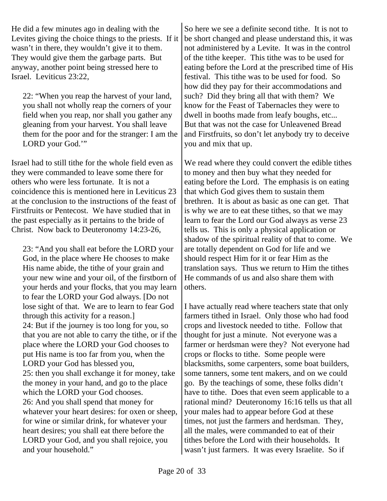He did a few minutes ago in dealing with the Levites giving the choice things to the priests. If it wasn't in there, they wouldn't give it to them. They would give them the garbage parts. But anyway, another point being stressed here to Israel. Leviticus 23:22,

22: "When you reap the harvest of your land, you shall not wholly reap the corners of your field when you reap, nor shall you gather any gleaning from your harvest. You shall leave them for the poor and for the stranger: I am the LORD your God."

Israel had to still tithe for the whole field even as they were commanded to leave some there for others who were less fortunate. It is not a coincidence this is mentioned here in Leviticus 23 at the conclusion to the instructions of the feast of Firstfruits or Pentecost. We have studied that in the past especially as it pertains to the bride of Christ. Now back to Deuteronomy 14:23-26,

23: "And you shall eat before the LORD your God, in the place where He chooses to make His name abide, the tithe of your grain and your new wine and your oil, of the firstborn of your herds and your flocks, that you may learn to fear the LORD your God always. [Do not lose sight of that. We are to learn to fear God through this activity for a reason.] 24: But if the journey is too long for you, so that you are not able to carry the tithe, or if the place where the LORD your God chooses to put His name is too far from you, when the LORD your God has blessed you, 25: then you shall exchange it for money, take the money in your hand, and go to the place which the LORD your God chooses. 26: And you shall spend that money for whatever your heart desires: for oxen or sheep, for wine or similar drink, for whatever your heart desires; you shall eat there before the LORD your God, and you shall rejoice, you and your household."

So here we see a definite second tithe. It is not to be short changed and please understand this, it was not administered by a Levite. It was in the control of the tithe keeper. This tithe was to be used for eating before the Lord at the prescribed time of His festival. This tithe was to be used for food. So how did they pay for their accommodations and such? Did they bring all that with them? We know for the Feast of Tabernacles they were to dwell in booths made from leafy boughs, etc... But that was not the case for Unleavened Bread and Firstfruits, so don't let anybody try to deceive you and mix that up.

We read where they could convert the edible tithes to money and then buy what they needed for eating before the Lord. The emphasis is on eating that which God gives them to sustain them brethren. It is about as basic as one can get. That is why we are to eat these tithes, so that we may learn to fear the Lord our God always as verse 23 tells us. This is only a physical application or shadow of the spiritual reality of that to come. We are totally dependent on God for life and we should respect Him for it or fear Him as the translation says. Thus we return to Him the tithes He commands of us and also share them with others.

I have actually read where teachers state that only farmers tithed in Israel. Only those who had food crops and livestock needed to tithe. Follow that thought for just a minute. Not everyone was a farmer or herdsman were they? Not everyone had crops or flocks to tithe. Some people were blacksmiths, some carpenters, some boat builders, some tanners, some tent makers, and on we could go. By the teachings of some, these folks didn't have to tithe. Does that even seem applicable to a rational mind? Deuteronomy 16:16 tells us that all your males had to appear before God at these times, not just the farmers and herdsman. They, all the males, were commanded to eat of their tithes before the Lord with their households. It wasn't just farmers. It was every Israelite. So if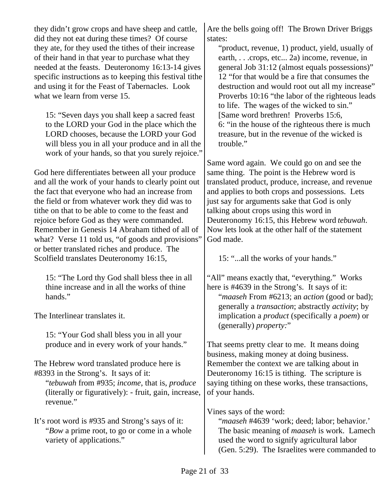they didn't grow crops and have sheep and cattle, did they not eat during these times? Of course they ate, for they used the tithes of their increase of their hand in that year to purchase what they needed at the feasts. Deuteronomy 16:13-14 gives specific instructions as to keeping this festival tithe and using it for the Feast of Tabernacles. Look what we learn from verse 15. 15: "Seven days you shall keep a sacred feast to the LORD your God in the place which the LORD chooses, because the LORD your God will bless you in all your produce and in all the work of your hands, so that you surely rejoice." God here differentiates between all your produce and all the work of your hands to clearly point out the fact that everyone who had an increase from the field or from whatever work they did was to tithe on that to be able to come to the feast and rejoice before God as they were commanded. Remember in Genesis 14 Abraham tithed of all of what? Verse 11 told us, "of goods and provisions" or better translated riches and produce. The Scolfield translates Deuteronomy 16:15, 15: "The Lord thy God shall bless thee in all thine increase and in all the works of thine hands." The Interlinear translates it. 15: "Your God shall bless you in all your produce and in every work of your hands." The Hebrew word translated produce here is #8393 in the Strong's. It says of it: "*tebuwah* from #935; *income*, that is, *produce* (literally or figuratively): - fruit, gain, increase, revenue." It's root word is #935 and Strong's says of it: "*Bow* a prime root, to go or come in a whole variety of applications." Are the bells going off! The Brown Driver Briggs states: "product, revenue, 1) product, yield, usually of earth, . . .crops, etc... 2a) income, revenue, in general Job 31:12 (almost equals possessions)" 12 "for that would be a fire that consumes the destruction and would root out all my increase" Proverbs 10:16 "the labor of the righteous leads to life. The wages of the wicked to sin." [Same word brethren! Proverbs 15:6, 6: "in the house of the righteous there is much treasure, but in the revenue of the wicked is trouble." Same word again. We could go on and see the same thing. The point is the Hebrew word is translated product, produce, increase, and revenue and applies to both crops and possessions. Lets just say for arguments sake that God is only talking about crops using this word in Deuteronomy 16:15, this Hebrew word *tebuwah*. Now lets look at the other half of the statement God made. 15: "...all the works of your hands." "All" means exactly that, "everything." Works here is #4639 in the Strong's. It says of it: "*maaseh* From #6213; an *action* (good or bad); generally a *transaction*; abstractly *activity*; by implication a *product* (specifically a *poem*) or (generally) *property:*" That seems pretty clear to me. It means doing business, making money at doing business. Remember the context we are talking about in Deuteronomy 16:15 is tithing. The scripture is saying tithing on these works, these transactions, of your hands. Vines says of the word: "*maaseh* #4639 'work; deed; labor; behavior.' The basic meaning of *maaseh* is work. Lamech used the word to signify agricultural labor (Gen. 5:29). The Israelites were commanded to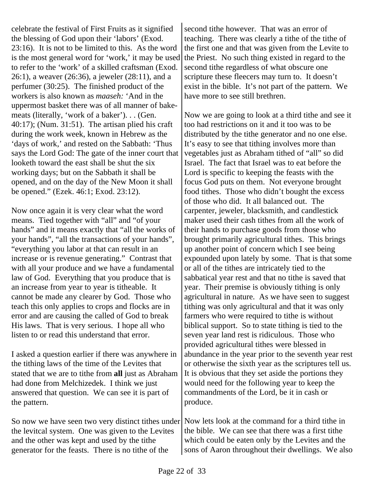celebrate the festival of First Fruits as it signified the blessing of God upon their 'labors' (Exod. 23:16). It is not to be limited to this. As the word is the most general word for 'work,' it may be used to refer to the 'work' of a skilled craftsman (Exod. 26:1), a weaver (26:36), a jeweler (28:11), and a perfumer (30:25). The finished product of the workers is also known as *maaseh:* 'And in the uppermost basket there was of all manner of bakemeats (literally, 'work of a baker'). . . (Gen.  $40:17$ ; (Num.  $31:51$ ). The artisan plied his craft during the work week, known in Hebrew as the 'days of work,' and rested on the Sabbath: 'Thus says the Lord God: The gate of the inner court that looketh toward the east shall be shut the six working days; but on the Sabbath it shall be opened, and on the day of the New Moon it shall be opened." (Ezek. 46:1; Exod. 23:12).

Now once again it is very clear what the word means. Tied together with "all" and "of your hands" and it means exactly that "all the works of your hands", "all the transactions of your hands", "everything you labor at that can result in an increase or is revenue generating." Contrast that with all your produce and we have a fundamental law of God. Everything that you produce that is an increase from year to year is titheable. It cannot be made any clearer by God. Those who teach this only applies to crops and flocks are in error and are causing the called of God to break His laws. That is very serious. I hope all who listen to or read this understand that error.

I asked a question earlier if there was anywhere in the tithing laws of the time of the Levites that stated that we are to tithe from **all** just as Abraham had done from Melchizedek. I think we just answered that question. We can see it is part of the pattern.

So now we have seen two very distinct tithes under the levitcal system. One was given to the Levites and the other was kept and used by the tithe generator for the feasts. There is no tithe of the

second tithe however. That was an error of teaching. There was clearly a tithe of the tithe of the first one and that was given from the Levite to the Priest. No such thing existed in regard to the second tithe regardless of what obscure one scripture these fleecers may turn to. It doesn't exist in the bible. It's not part of the pattern. We have more to see still brethren.

Now we are going to look at a third tithe and see it too had restrictions on it and it too was to be distributed by the tithe generator and no one else. It's easy to see that tithing involves more than vegetables just as Abraham tithed of "all" so did Israel. The fact that Israel was to eat before the Lord is specific to keeping the feasts with the focus God puts on them. Not everyone brought food tithes. Those who didn't bought the excess of those who did. It all balanced out. The carpenter, jeweler, blacksmith, and candlestick maker used their cash tithes from all the work of their hands to purchase goods from those who brought primarily agricultural tithes. This brings up another point of concern which I see being expounded upon lately by some. That is that some or all of the tithes are intricately tied to the sabbatical year rest and that no tithe is saved that year. Their premise is obviously tithing is only agricultural in nature. As we have seen to suggest tithing was only agricultural and that it was only farmers who were required to tithe is without biblical support. So to state tithing is tied to the seven year land rest is ridiculous. Those who provided agricultural tithes were blessed in abundance in the year prior to the seventh year rest or otherwise the sixth year as the scriptures tell us. It is obvious that they set aside the portions they would need for the following year to keep the commandments of the Lord, be it in cash or produce.

Now lets look at the command for a third tithe in the bible. We can see that there was a first tithe which could be eaten only by the Levites and the sons of Aaron throughout their dwellings. We also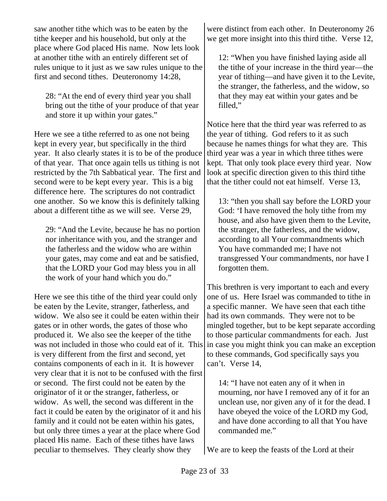saw another tithe which was to be eaten by the tithe keeper and his household, but only at the place where God placed His name. Now lets look at another tithe with an entirely different set of rules unique to it just as we saw rules unique to the first and second tithes. Deuteronomy 14:28,

28: "At the end of every third year you shall bring out the tithe of your produce of that year and store it up within your gates."

Here we see a tithe referred to as one not being kept in every year, but specifically in the third year. It also clearly states it is to be of the produce of that year. That once again tells us tithing is not restricted by the 7th Sabbatical year. The first and second were to be kept every year. This is a big difference here. The scriptures do not contradict one another. So we know this is definitely talking about a different tithe as we will see. Verse 29,

29: "And the Levite, because he has no portion nor inheritance with you, and the stranger and the fatherless and the widow who are within your gates, may come and eat and be satisfied, that the LORD your God may bless you in all the work of your hand which you do."

Here we see this tithe of the third year could only be eaten by the Levite, stranger, fatherless, and widow. We also see it could be eaten within their gates or in other words, the gates of those who produced it. We also see the keeper of the tithe was not included in those who could eat of it. This is very different from the first and second, yet contains components of each in it. It is however very clear that it is not to be confused with the first or second. The first could not be eaten by the originator of it or the stranger, fatherless, or widow. As well, the second was different in the fact it could be eaten by the originator of it and his family and it could not be eaten within his gates, but only three times a year at the place where God placed His name. Each of these tithes have laws peculiar to themselves. They clearly show they

were distinct from each other. In Deuteronomy 26 we get more insight into this third tithe. Verse 12,

12: "When you have finished laying aside all the tithe of your increase in the third year—the year of tithing—and have given it to the Levite, the stranger, the fatherless, and the widow, so that they may eat within your gates and be filled,"

Notice here that the third year was referred to as the year of tithing. God refers to it as such because he names things for what they are. This third year was a year in which three tithes were kept. That only took place every third year. Now look at specific direction given to this third tithe that the tither could not eat himself. Verse 13,

13: "then you shall say before the LORD your God: 'I have removed the holy tithe from my house, and also have given them to the Levite, the stranger, the fatherless, and the widow, according to all Your commandments which You have commanded me; I have not transgressed Your commandments, nor have I forgotten them.

This brethren is very important to each and every one of us. Here Israel was commanded to tithe in a specific manner. We have seen that each tithe had its own commands. They were not to be mingled together, but to be kept separate according to those particular commandments for each. Just in case you might think you can make an exception to these commands, God specifically says you can't. Verse 14,

14: "I have not eaten any of it when in mourning, nor have I removed any of it for an unclean use, nor given any of it for the dead. I have obeyed the voice of the LORD my God, and have done according to all that You have commanded me."

We are to keep the feasts of the Lord at their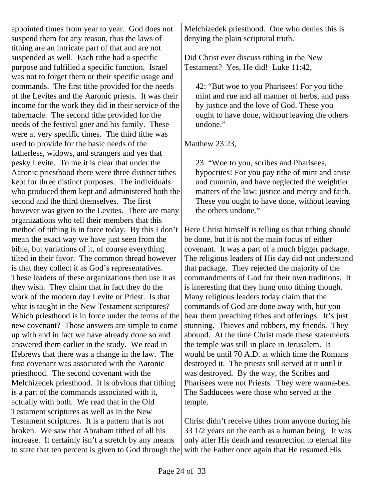appointed times from year to year. God does not suspend them for any reason, thus the laws of tithing are an intricate part of that and are not suspended as well. Each tithe had a specific purpose and fulfilled a specific function. Israel was not to forget them or their specific usage and commands. The first tithe provided for the needs of the Levites and the Aaronic priests. It was their income for the work they did in their service of the tabernacle. The second tithe provided for the needs of the festival goer and his family. These were at very specific times. The third tithe was used to provide for the basic needs of the fatherless, widows, and strangers and yes that pesky Levite. To me it is clear that under the Aaronic priesthood there were three distinct tithes kept for three distinct purposes. The individuals who produced them kept and administered both the second and the third themselves. The first however was given to the Levites. There are many organizations who tell their members that this method of tithing is in force today. By this I don't mean the exact way we have just seen from the bible, but variations of it, of course everything tilted in their favor. The common thread however is that they collect it as God's representatives. These leaders of these organizations then use it as they wish. They claim that in fact they do the work of the modern day Levite or Priest. Is that what is taught in the New Testament scriptures? Which priesthood is in force under the terms of the new covenant? Those answers are simple to come up with and in fact we have already done so and answered them earlier in the study. We read in Hebrews that there was a change in the law. The first covenant was associated with the Aaronic priesthood. The second covenant with the Melchizedek priesthood. It is obvious that tithing is a part of the commands associated with it, actually with both. We read that in the Old Testament scriptures as well as in the New Testament scriptures. It is a pattern that is not broken. We saw that Abraham tithed of all his increase. It certainly isn't a stretch by any means to state that ten percent is given to God through the with the Father once again that He resumed His

Melchizedek priesthood. One who denies this is denying the plain scriptural truth.

Did Christ ever discuss tithing in the New Testament? Yes, He did! Luke 11:42,

42: "But woe to you Pharisees! For you tithe mint and rue and all manner of herbs, and pass by justice and the love of God. These you ought to have done, without leaving the others undone."

Matthew 23:23,

23: "Woe to you, scribes and Pharisees, hypocrites! For you pay tithe of mint and anise and cummin, and have neglected the weightier matters of the law: justice and mercy and faith. These you ought to have done, without leaving the others undone."

Here Christ himself is telling us that tithing should be done, but it is not the main focus of either covenant. It was a part of a much bigger package. The religious leaders of His day did not understand that package. They rejected the majority of the commandments of God for their own traditions. It is interesting that they hung onto tithing though. Many religious leaders today claim that the commands of God are done away with, but you hear them preaching tithes and offerings. It's just stunning. Thieves and robbers, my friends. They abound. At the time Christ made these statements the temple was still in place in Jerusalem. It would be until 70 A.D. at which time the Romans destroyed it. The priests still served at it until it was destroyed. By the way, the Scribes and Pharisees were not Priests. They were wanna-bes. The Sadducees were those who served at the temple.

Christ didn't receive tithes from anyone during his 33 1/2 years on the earth as a human being. It was only after His death and resurrection to eternal life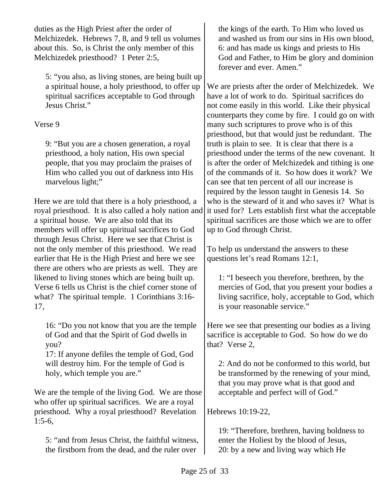duties as the High Priest after the order of Melchizedek. Hebrews 7, 8, and 9 tell us volumes about this. So, is Christ the only member of this Melchizedek priesthood? 1 Peter 2:5,

5: "you also, as living stones, are being built up a spiritual house, a holy priesthood, to offer up spiritual sacrifices acceptable to God through Jesus Christ."

## Verse 9

9: "But you are a chosen generation, a royal priesthood, a holy nation, His own special people, that you may proclaim the praises of Him who called you out of darkness into His marvelous light;"

Here we are told that there is a holy priesthood, a royal priesthood. It is also called a holy nation and a spiritual house. We are also told that its members will offer up spiritual sacrifices to God through Jesus Christ. Here we see that Christ is not the only member of this priesthood. We read earlier that He is the High Priest and here we see there are others who are priests as well. They are likened to living stones which are being built up. Verse 6 tells us Christ is the chief corner stone of what? The spiritual temple. 1 Corinthians 3:16-17,

16: "Do you not know that you are the temple of God and that the Spirit of God dwells in you?

17: If anyone defiles the temple of God, God will destroy him. For the temple of God is holy, which temple you are."

We are the temple of the living God. We are those who offer up spiritual sacrifices. We are a royal priesthood. Why a royal priesthood? Revelation 1:5-6,

5: "and from Jesus Christ, the faithful witness, the firstborn from the dead, and the ruler over

the kings of the earth. To Him who loved us and washed us from our sins in His own blood, 6: and has made us kings and priests to His God and Father, to Him be glory and dominion forever and ever. Amen."

We are priests after the order of Melchizedek. We have a lot of work to do. Spiritual sacrifices do not come easily in this world. Like their physical counterparts they come by fire. I could go on with many such scriptures to prove who is of this priesthood, but that would just be redundant. The truth is plain to see. It is clear that there is a priesthood under the terms of the new covenant. It is after the order of Melchizedek and tithing is one of the commands of it. So how does it work? We can see that ten percent of all our increase is required by the lesson taught in Genesis 14. So who is the steward of it and who saves it? What is it used for? Lets establish first what the acceptable spiritual sacrifices are those which we are to offer up to God through Christ.

To help us understand the answers to these questions let's read Romans 12:1,

1: "I beseech you therefore, brethren, by the mercies of God, that you present your bodies a living sacrifice, holy, acceptable to God, which is your reasonable service."

Here we see that presenting our bodies as a living sacrifice is acceptable to God. So how do we do that? Verse 2,

2: And do not be conformed to this world, but be transformed by the renewing of your mind, that you may prove what is that good and acceptable and perfect will of God."

Hebrews 10:19-22,

19: "Therefore, brethren, having boldness to enter the Holiest by the blood of Jesus, 20: by a new and living way which He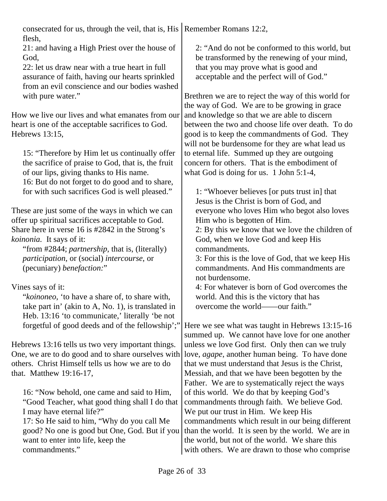consecrated for us, through the veil, that is, His Remember Romans 12:2, flesh,

21: and having a High Priest over the house of God,

22: let us draw near with a true heart in full assurance of faith, having our hearts sprinkled from an evil conscience and our bodies washed with pure water."

How we live our lives and what emanates from our heart is one of the acceptable sacrifices to God. Hebrews 13:15,

15: "Therefore by Him let us continually offer the sacrifice of praise to God, that is, the fruit of our lips, giving thanks to His name. 16: But do not forget to do good and to share, for with such sacrifices God is well pleased."

These are just some of the ways in which we can offer up spiritual sacrifices acceptable to God. Share here in verse 16 is #2842 in the Strong's *koinonia.* It says of it:

"from #2844; *partnership*, that is, (literally) *participation*, or (social) *intercourse*, or (pecuniary) *benefaction:*"

Vines says of it:

"*koinoneo*, 'to have a share of, to share with, take part in' (akin to A, No. 1), is translated in Heb. 13:16 'to communicate,' literally 'be not forgetful of good deeds and of the fellowship';"

Hebrews 13:16 tells us two very important things. One, we are to do good and to share ourselves with others. Christ Himself tells us how we are to do that. Matthew 19:16-17,

16: "Now behold, one came and said to Him, "Good Teacher, what good thing shall I do that I may have eternal life?"

17: So He said to him, "Why do you call Me good? No one is good but One, God. But if you want to enter into life, keep the commandments."

2: "And do not be conformed to this world, but be transformed by the renewing of your mind, that you may prove what is good and acceptable and the perfect will of God."

Brethren we are to reject the way of this world for the way of God. We are to be growing in grace and knowledge so that we are able to discern between the two and choose life over death. To do good is to keep the commandments of God. They will not be burdensome for they are what lead us to eternal life. Summed up they are outgoing concern for others. That is the embodiment of what God is doing for us. 1 John 5:1-4,

1: "Whoever believes [or puts trust in] that Jesus is the Christ is born of God, and everyone who loves Him who begot also loves Him who is begotten of Him.

2: By this we know that we love the children of God, when we love God and keep His commandments.

3: For this is the love of God, that we keep His commandments. And His commandments are not burdensome.

4: For whatever is born of God overcomes the world. And this is the victory that has overcome the world——our faith."

Here we see what was taught in Hebrews 13:15-16 summed up. We cannot have love for one another unless we love God first. Only then can we truly love, *agape*, another human being. To have done that we must understand that Jesus is the Christ, Messiah, and that we have been begotten by the Father. We are to systematically reject the ways of this world. We do that by keeping God's commandments through faith. We believe God. We put our trust in Him. We keep His commandments which result in our being different than the world. It is seen by the world. We are in the world, but not of the world. We share this with others. We are drawn to those who comprise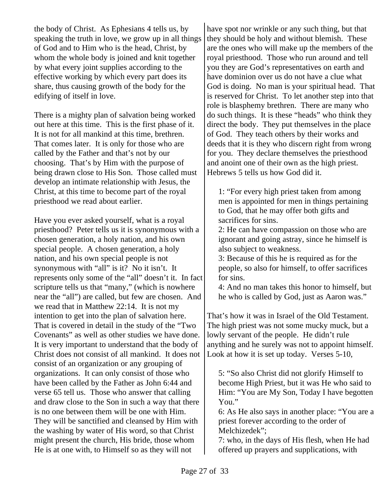the body of Christ. As Ephesians 4 tells us, by speaking the truth in love, we grow up in all things of God and to Him who is the head, Christ, by whom the whole body is joined and knit together by what every joint supplies according to the effective working by which every part does its share, thus causing growth of the body for the edifying of itself in love.

There is a mighty plan of salvation being worked out here at this time. This is the first phase of it. It is not for all mankind at this time, brethren. That comes later. It is only for those who are called by the Father and that's not by our choosing. That's by Him with the purpose of being drawn close to His Son. Those called must develop an intimate relationship with Jesus, the Christ, at this time to become part of the royal priesthood we read about earlier.

Have you ever asked yourself, what is a royal priesthood? Peter tells us it is synonymous with a chosen generation, a holy nation, and his own special people. A chosen generation, a holy nation, and his own special people is not synonymous with "all" is it? No it isn't. It represents only some of the "all" doesn't it. In fact scripture tells us that "many," (which is nowhere near the "all") are called, but few are chosen. And we read that in Matthew 22:14. It is not my intention to get into the plan of salvation here. That is covered in detail in the study of the "Two Covenants" as well as other studies we have done. It is very important to understand that the body of Christ does not consist of all mankind. It does not consist of an organization or any grouping of organizations. It can only consist of those who have been called by the Father as John 6:44 and verse 65 tell us. Those who answer that calling and draw close to the Son in such a way that there is no one between them will be one with Him. They will be sanctified and cleansed by Him with the washing by water of His word, so that Christ might present the church, His bride, those whom He is at one with, to Himself so as they will not

have spot nor wrinkle or any such thing, but that they should be holy and without blemish. These are the ones who will make up the members of the royal priesthood. Those who run around and tell you they are God's representatives on earth and have dominion over us do not have a clue what God is doing. No man is your spiritual head. That is reserved for Christ. To let another step into that role is blasphemy brethren. There are many who do such things. It is these "heads" who think they direct the body. They put themselves in the place of God. They teach others by their works and deeds that it is they who discern right from wrong for you. They declare themselves the priesthood and anoint one of their own as the high priest. Hebrews 5 tells us how God did it.

1: "For every high priest taken from among men is appointed for men in things pertaining to God, that he may offer both gifts and sacrifices for sins.

2: He can have compassion on those who are ignorant and going astray, since he himself is also subject to weakness.

3: Because of this he is required as for the people, so also for himself, to offer sacrifices for sins.

4: And no man takes this honor to himself, but he who is called by God, just as Aaron was."

That's how it was in Israel of the Old Testament. The high priest was not some mucky muck, but a lowly servant of the people. He didn't rule anything and he surely was not to appoint himself. Look at how it is set up today. Verses 5-10,

5: "So also Christ did not glorify Himself to become High Priest, but it was He who said to Him: "You are My Son, Today I have begotten You."

6: As He also says in another place: "You are a priest forever according to the order of Melchizedek";

7: who, in the days of His flesh, when He had offered up prayers and supplications, with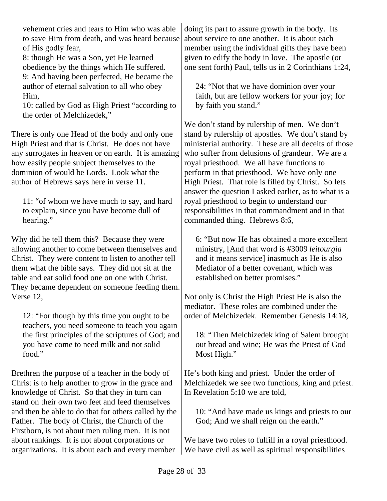vehement cries and tears to Him who was able to save Him from death, and was heard because of His godly fear,

8: though He was a Son, yet He learned obedience by the things which He suffered. 9: And having been perfected, He became the author of eternal salvation to all who obey Him,

10: called by God as High Priest "according to the order of Melchizedek,"

There is only one Head of the body and only one High Priest and that is Christ. He does not have any surrogates in heaven or on earth. It is amazing how easily people subject themselves to the dominion of would be Lords. Look what the author of Hebrews says here in verse 11.

11: "of whom we have much to say, and hard to explain, since you have become dull of hearing."

Why did he tell them this? Because they were allowing another to come between themselves and Christ. They were content to listen to another tell them what the bible says. They did not sit at the table and eat solid food one on one with Christ. They became dependent on someone feeding them. Verse 12,

12: "For though by this time you ought to be teachers, you need someone to teach you again the first principles of the scriptures of God; and you have come to need milk and not solid food."

Brethren the purpose of a teacher in the body of Christ is to help another to grow in the grace and knowledge of Christ. So that they in turn can stand on their own two feet and feed themselves and then be able to do that for others called by the Father. The body of Christ, the Church of the Firstborn, is not about men ruling men. It is not about rankings. It is not about corporations or organizations. It is about each and every member

doing its part to assure growth in the body. Its about service to one another. It is about each member using the individual gifts they have been given to edify the body in love. The apostle (or one sent forth) Paul, tells us in 2 Corinthians 1:24,

24: "Not that we have dominion over your faith, but are fellow workers for your joy; for by faith you stand."

We don't stand by rulership of men. We don't stand by rulership of apostles. We don't stand by ministerial authority. These are all deceits of those who suffer from delusions of grandeur. We are a royal priesthood. We all have functions to perform in that priesthood. We have only one High Priest. That role is filled by Christ. So lets answer the question I asked earlier, as to what is a royal priesthood to begin to understand our responsibilities in that commandment and in that commanded thing. Hebrews 8:6,

6: "But now He has obtained a more excellent ministry, [And that word is #3009 *leitourgia* and it means service] inasmuch as He is also Mediator of a better covenant, which was established on better promises."

Not only is Christ the High Priest He is also the mediator. These roles are combined under the order of Melchizedek. Remember Genesis 14:18,

18: "Then Melchizedek king of Salem brought out bread and wine; He was the Priest of God Most High."

He's both king and priest. Under the order of Melchizedek we see two functions, king and priest. In Revelation 5:10 we are told,

10: "And have made us kings and priests to our God; And we shall reign on the earth."

We have two roles to fulfill in a royal priesthood. We have civil as well as spiritual responsibilities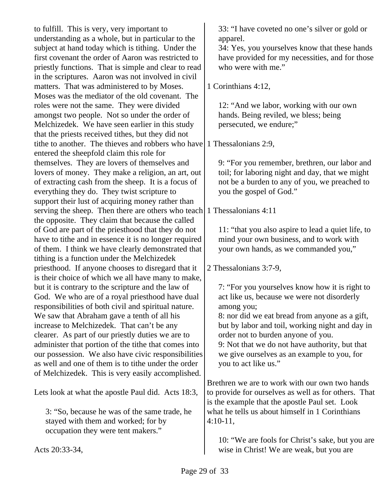to fulfill. This is very, very important to understanding as a whole, but in particular to the subject at hand today which is tithing. Under the first covenant the order of Aaron was restricted to priestly functions. That is simple and clear to read in the scriptures. Aaron was not involved in civil matters. That was administered to by Moses. Moses was the mediator of the old covenant. The roles were not the same. They were divided amongst two people. Not so under the order of Melchizedek. We have seen earlier in this study that the priests received tithes, but they did not tithe to another. The thieves and robbers who have entered the sheepfold claim this role for themselves. They are lovers of themselves and lovers of money. They make a religion, an art, out of extracting cash from the sheep. It is a focus of everything they do. They twist scripture to support their lust of acquiring money rather than serving the sheep. Then there are others who teach 1 Thessalonians 4:11 the opposite. They claim that because the called of God are part of the priesthood that they do not have to tithe and in essence it is no longer required of them. I think we have clearly demonstrated that tithing is a function under the Melchizedek priesthood. If anyone chooses to disregard that it is their choice of which we all have many to make, but it is contrary to the scripture and the law of God. We who are of a royal priesthood have dual responsibilities of both civil and spiritual nature. We saw that Abraham gave a tenth of all his increase to Melchizedek. That can't be any clearer. As part of our priestly duties we are to administer that portion of the tithe that comes into our possession. We also have civic responsibilities as well and one of them is to tithe under the order of Melchizedek. This is very easily accomplished. Lets look at what the apostle Paul did. Acts 18:3, 3: "So, because he was of the same trade, he stayed with them and worked; for by occupation they were tent makers." Acts 20:33-34, 33: "I have coveted no one's silver or gold or apparel. 34: Yes, you yourselves know that these hands have provided for my necessities, and for those who were with me." 1 Corinthians 4:12, 12: "And we labor, working with our own hands. Being reviled, we bless; being persecuted, we endure;" 1 Thessalonians 2:9, 9: "For you remember, brethren, our labor and toil; for laboring night and day, that we might not be a burden to any of you, we preached to you the gospel of God." 11: "that you also aspire to lead a quiet life, to mind your own business, and to work with your own hands, as we commanded you," 2 Thessalonians 3:7-9, 7: "For you yourselves know how it is right to act like us, because we were not disorderly among you; 8: nor did we eat bread from anyone as a gift, but by labor and toil, working night and day in order not to burden anyone of you. 9: Not that we do not have authority, but that we give ourselves as an example to you, for you to act like us." Brethren we are to work with our own two hands to provide for ourselves as well as for others. That is the example that the apostle Paul set. Look what he tells us about himself in 1 Corinthians 4:10-11, 10: "We are fools for Christ's sake, but you are wise in Christ! We are weak, but you are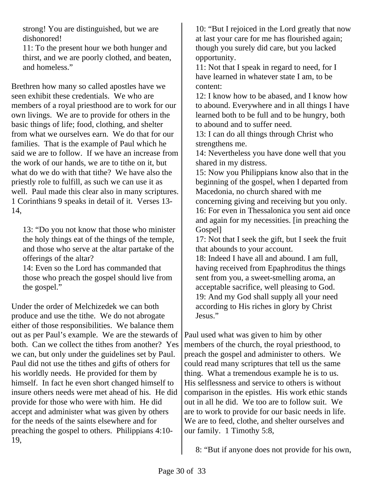strong! You are distinguished, but we are dishonored!

11: To the present hour we both hunger and thirst, and we are poorly clothed, and beaten, and homeless."

Brethren how many so called apostles have we seen exhibit these credentials. We who are members of a royal priesthood are to work for our own livings. We are to provide for others in the basic things of life; food, clothing, and shelter from what we ourselves earn. We do that for our families. That is the example of Paul which he said we are to follow. If we have an increase from the work of our hands, we are to tithe on it, but what do we do with that tithe? We have also the priestly role to fulfill, as such we can use it as well. Paul made this clear also in many scriptures. 1 Corinthians 9 speaks in detail of it. Verses 13- 14,

13: "Do you not know that those who minister the holy things eat of the things of the temple, and those who serve at the altar partake of the offerings of the altar?

14: Even so the Lord has commanded that those who preach the gospel should live from the gospel."

Under the order of Melchizedek we can both produce and use the tithe. We do not abrogate either of those responsibilities. We balance them out as per Paul's example. We are the stewards of both. Can we collect the tithes from another? Yes we can, but only under the guidelines set by Paul. Paul did not use the tithes and gifts of others for his worldly needs. He provided for them by himself. In fact he even short changed himself to insure others needs were met ahead of his. He did provide for those who were with him. He did accept and administer what was given by others for the needs of the saints elsewhere and for preaching the gospel to others. Philippians 4:10- 19,

10: "But I rejoiced in the Lord greatly that now at last your care for me has flourished again; though you surely did care, but you lacked opportunity.

11: Not that I speak in regard to need, for I have learned in whatever state I am, to be content:

12: I know how to be abased, and I know how to abound. Everywhere and in all things I have learned both to be full and to be hungry, both to abound and to suffer need.

13: I can do all things through Christ who strengthens me.

14: Nevertheless you have done well that you shared in my distress.

15: Now you Philippians know also that in the beginning of the gospel, when I departed from Macedonia, no church shared with me concerning giving and receiving but you only.

16: For even in Thessalonica you sent aid once and again for my necessities. [in preaching the Gospel]

17: Not that I seek the gift, but I seek the fruit that abounds to your account.

18: Indeed I have all and abound. I am full, having received from Epaphroditus the things sent from you, a sweet-smelling aroma, an acceptable sacrifice, well pleasing to God. 19: And my God shall supply all your need according to His riches in glory by Christ Jesus."

Paul used what was given to him by other members of the church, the royal priesthood, to preach the gospel and administer to others. We could read many scriptures that tell us the same thing. What a tremendous example he is to us. His selflessness and service to others is without comparison in the epistles. His work ethic stands out in all he did. We too are to follow suit. We are to work to provide for our basic needs in life. We are to feed, clothe, and shelter ourselves and our family. 1 Timothy 5:8,

8: "But if anyone does not provide for his own,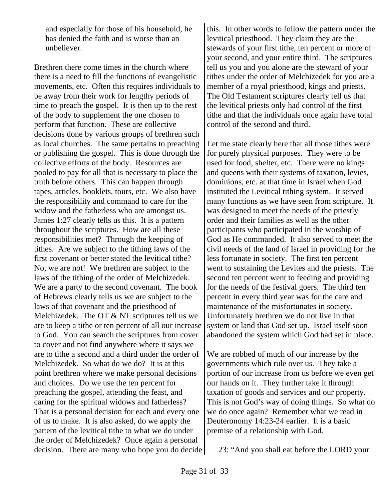and especially for those of his household, he has denied the faith and is worse than an unbeliever.

Brethren there come times in the church where there is a need to fill the functions of evangelistic movements, etc. Often this requires individuals to be away from their work for lengthy periods of time to preach the gospel. It is then up to the rest of the body to supplement the one chosen to perform that function. These are collective decisions done by various groups of brethren such as local churches. The same pertains to preaching or publishing the gospel. This is done through the collective efforts of the body. Resources are pooled to pay for all that is necessary to place the truth before others. This can happen through tapes, articles, booklets, tours, etc. We also have the responsibility and command to care for the widow and the fatherless who are amongst us. James 1:27 clearly tells us this. It is a pattern throughout the scriptures. How are all these responsibilities met? Through the keeping of tithes. Are we subject to the tithing laws of the first covenant or better stated the levitical tithe? No, we are not! We brethren are subject to the laws of the tithing of the order of Melchizedek. We are a party to the second covenant. The book of Hebrews clearly tells us we are subject to the laws of that covenant and the priesthood of Melchizedek. The OT & NT scriptures tell us we are to keep a tithe or ten percent of all our increase to God. You can search the scriptures from cover to cover and not find anywhere where it says we are to tithe a second and a third under the order of Melchizedek. So what do we do? It is at this point brethren where we make personal decisions and choices. Do we use the ten percent for preaching the gospel, attending the feast, and caring for the spiritual widows and fatherless? That is a personal decision for each and every one of us to make. It is also asked, do we apply the pattern of the levitical tithe to what we do under the order of Melchizedek? Once again a personal decision. There are many who hope you do decide

this. In other words to follow the pattern under the levitical priesthood. They claim they are the stewards of your first tithe, ten percent or more of your second, and your entire third. The scriptures tell us you and you alone are the steward of your tithes under the order of Melchizedek for you are a member of a royal priesthood, kings and priests. The Old Testament scriptures clearly tell us that the levitical priests only had control of the first tithe and that the individuals once again have total control of the second and third.

Let me state clearly here that all those tithes were for purely physical purposes. They were to be used for food, shelter, etc. There were no kings and queens with their systems of taxation, levies, dominions, etc. at that time in Israel when God instituted the Levitical tithing system. It served many functions as we have seen from scripture. It was designed to meet the needs of the priestly order and their families as well as the other participants who participated in the worship of God as He commanded. It also served to meet the civil needs of the land of Israel in providing for the less fortunate in society. The first ten percent went to sustaining the Levites and the priests. The second ten percent went to feeding and providing for the needs of the festival goers. The third ten percent in every third year was for the care and maintenance of the misfortunates in society. Unfortunately brethren we do not live in that system or land that God set up. Israel itself soon abandoned the system which God had set in place.

We are robbed of much of our increase by the governments which rule over us. They take a portion of our increase from us before we even get our hands on it. They further take it through taxation of goods and services and our property. This is not God's way of doing things. So what do we do once again? Remember what we read in Deuteronomy 14:23-24 earlier. It is a basic premise of a relationship with God.

23: "And you shall eat before the LORD your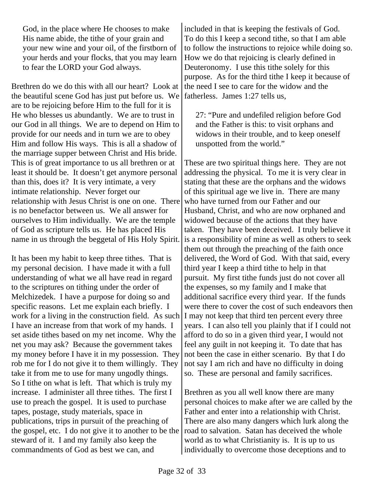God, in the place where He chooses to make His name abide, the tithe of your grain and your new wine and your oil, of the firstborn of your herds and your flocks, that you may learn to fear the LORD your God always.

Brethren do we do this with all our heart? Look at the beautiful scene God has just put before us. We are to be rejoicing before Him to the full for it is He who blesses us abundantly. We are to trust in our God in all things. We are to depend on Him to provide for our needs and in turn we are to obey Him and follow His ways. This is all a shadow of the marriage supper between Christ and His bride. This is of great importance to us all brethren or at least it should be. It doesn't get anymore personal than this, does it? It is very intimate, a very intimate relationship. Never forget our relationship with Jesus Christ is one on one. There is no benefactor between us. We all answer for ourselves to Him individually. We are the temple of God as scripture tells us. He has placed His name in us through the beggetal of His Holy Spirit.

It has been my habit to keep three tithes. That is my personal decision. I have made it with a full understanding of what we all have read in regard to the scriptures on tithing under the order of Melchizedek. I have a purpose for doing so and specific reasons. Let me explain each briefly. I work for a living in the construction field. As such I have an increase from that work of my hands. I set aside tithes based on my net income. Why the net you may ask? Because the government takes my money before I have it in my possession. They rob me for I do not give it to them willingly. They take it from me to use for many ungodly things. So I tithe on what is left. That which is truly my increase. I administer all three tithes. The first I use to preach the gospel. It is used to purchase tapes, postage, study materials, space in publications, trips in pursuit of the preaching of the gospel, etc. I do not give it to another to be the steward of it. I and my family also keep the commandments of God as best we can, and

included in that is keeping the festivals of God. To do this I keep a second tithe, so that I am able to follow the instructions to rejoice while doing so. How we do that rejoicing is clearly defined in Deuteronomy. I use this tithe solely for this purpose. As for the third tithe I keep it because of the need I see to care for the widow and the fatherless. James 1:27 tells us,

27: "Pure and undefiled religion before God and the Father is this: to visit orphans and widows in their trouble, and to keep oneself unspotted from the world."

These are two spiritual things here. They are not addressing the physical. To me it is very clear in stating that these are the orphans and the widows of this spiritual age we live in. There are many who have turned from our Father and our Husband, Christ, and who are now orphaned and widowed because of the actions that they have taken. They have been deceived. I truly believe it is a responsibility of mine as well as others to seek them out through the preaching of the faith once delivered, the Word of God. With that said, every third year I keep a third tithe to help in that pursuit. My first tithe funds just do not cover all the expenses, so my family and I make that additional sacrifice every third year. If the funds were there to cover the cost of such endeavors then I may not keep that third ten percent every three years. I can also tell you plainly that if I could not afford to do so in a given third year, I would not feel any guilt in not keeping it. To date that has not been the case in either scenario. By that I do not say I am rich and have no difficulty in doing so. These are personal and family sacrifices.

Brethren as you all well know there are many personal choices to make after we are called by the Father and enter into a relationship with Christ. There are also many dangers which lurk along the road to salvation. Satan has deceived the whole world as to what Christianity is. It is up to us individually to overcome those deceptions and to